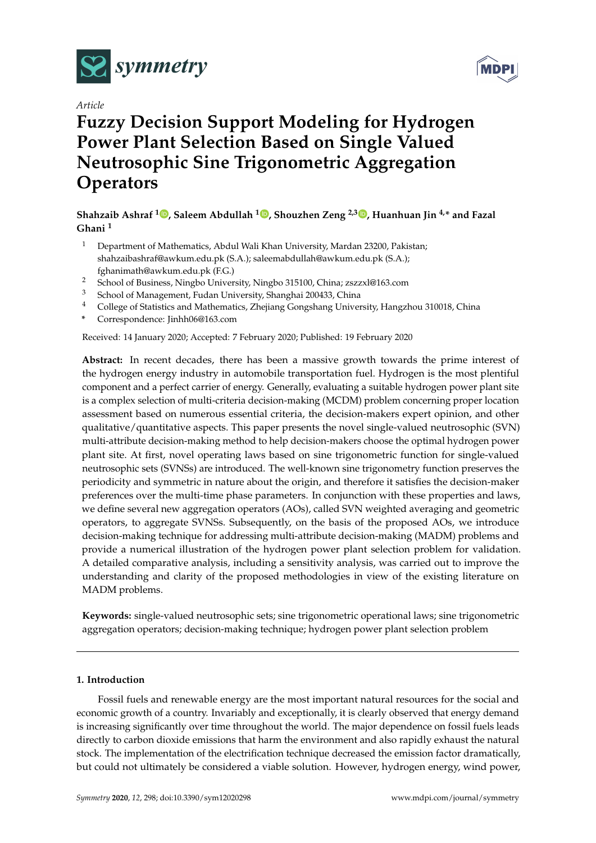

*Article*

# **MDP**

## **Fuzzy Decision Support Modeling for Hydrogen Power Plant Selection Based on Single Valued Neutrosophic Sine Trigonometric Aggregation Operators**

### **Shahzaib Ashraf [1](https://orcid.org/0000-0002-8616-8829) , Saleem Abdullah <sup>1</sup> [,](https://orcid.org/0000-0002-7474-5115) Shouzhen Zeng 2,3 [,](https://orcid.org/0000-0002-3604-0843) Huanhuan Jin 4,\* and Fazal Ghani <sup>1</sup>**

- <sup>1</sup> Department of Mathematics, Abdul Wali Khan University, Mardan 23200, Pakistan; shahzaibashraf@awkum.edu.pk (S.A.); saleemabdullah@awkum.edu.pk (S.A.); fghanimath@awkum.edu.pk (F.G.)
- <sup>2</sup> School of Business, Ningbo University, Ningbo 315100, China; zszzxl@163.com<br><sup>3</sup> School of Management Eudan University Shanghai 200433 China
- <sup>3</sup> School of Management, Fudan University, Shanghai 200433, China
- <sup>4</sup> College of Statistics and Mathematics, Zhejiang Gongshang University, Hangzhou 310018, China
- **\*** Correspondence: Jinhh06@163.com

Received: 14 January 2020; Accepted: 7 February 2020; Published: 19 February 2020

**Abstract:** In recent decades, there has been a massive growth towards the prime interest of the hydrogen energy industry in automobile transportation fuel. Hydrogen is the most plentiful component and a perfect carrier of energy. Generally, evaluating a suitable hydrogen power plant site is a complex selection of multi-criteria decision-making (MCDM) problem concerning proper location assessment based on numerous essential criteria, the decision-makers expert opinion, and other qualitative/quantitative aspects. This paper presents the novel single-valued neutrosophic (SVN) multi-attribute decision-making method to help decision-makers choose the optimal hydrogen power plant site. At first, novel operating laws based on sine trigonometric function for single-valued neutrosophic sets (SVNSs) are introduced. The well-known sine trigonometry function preserves the periodicity and symmetric in nature about the origin, and therefore it satisfies the decision-maker preferences over the multi-time phase parameters. In conjunction with these properties and laws, we define several new aggregation operators (AOs), called SVN weighted averaging and geometric operators, to aggregate SVNSs. Subsequently, on the basis of the proposed AOs, we introduce decision-making technique for addressing multi-attribute decision-making (MADM) problems and provide a numerical illustration of the hydrogen power plant selection problem for validation. A detailed comparative analysis, including a sensitivity analysis, was carried out to improve the understanding and clarity of the proposed methodologies in view of the existing literature on MADM problems.

**Keywords:** single-valued neutrosophic sets; sine trigonometric operational laws; sine trigonometric aggregation operators; decision-making technique; hydrogen power plant selection problem

#### **1. Introduction**

Fossil fuels and renewable energy are the most important natural resources for the social and economic growth of a country. Invariably and exceptionally, it is clearly observed that energy demand is increasing significantly over time throughout the world. The major dependence on fossil fuels leads directly to carbon dioxide emissions that harm the environment and also rapidly exhaust the natural stock. The implementation of the electrification technique decreased the emission factor dramatically, but could not ultimately be considered a viable solution. However, hydrogen energy, wind power,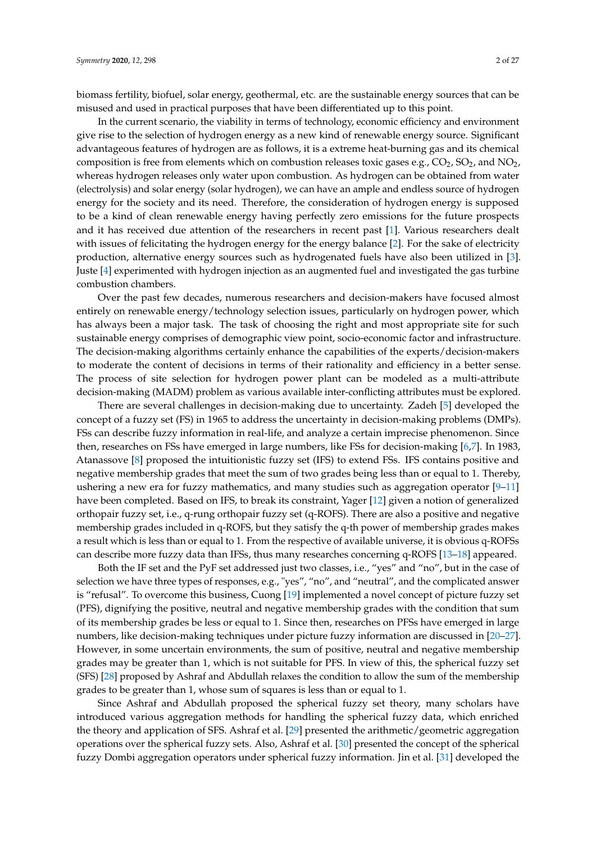biomass fertility, biofuel, solar energy, geothermal, etc. are the sustainable energy sources that can be misused and used in practical purposes that have been differentiated up to this point.

In the current scenario, the viability in terms of technology, economic efficiency and environment give rise to the selection of hydrogen energy as a new kind of renewable energy source. Significant advantageous features of hydrogen are as follows, it is a extreme heat-burning gas and its chemical composition is free from elements which on combustion releases toxic gases e.g.,  $CO_2$ ,  $SO_2$ , and  $NO_2$ , whereas hydrogen releases only water upon combustion. As hydrogen can be obtained from water (electrolysis) and solar energy (solar hydrogen), we can have an ample and endless source of hydrogen energy for the society and its need. Therefore, the consideration of hydrogen energy is supposed to be a kind of clean renewable energy having perfectly zero emissions for the future prospects and it has received due attention of the researchers in recent past [\[1\]](#page-24-0). Various researchers dealt with issues of felicitating the hydrogen energy for the energy balance [\[2\]](#page-24-1). For the sake of electricity production, alternative energy sources such as hydrogenated fuels have also been utilized in [\[3\]](#page-24-2). Juste [\[4\]](#page-24-3) experimented with hydrogen injection as an augmented fuel and investigated the gas turbine combustion chambers.

Over the past few decades, numerous researchers and decision-makers have focused almost entirely on renewable energy/technology selection issues, particularly on hydrogen power, which has always been a major task. The task of choosing the right and most appropriate site for such sustainable energy comprises of demographic view point, socio-economic factor and infrastructure. The decision-making algorithms certainly enhance the capabilities of the experts/decision-makers to moderate the content of decisions in terms of their rationality and efficiency in a better sense. The process of site selection for hydrogen power plant can be modeled as a multi-attribute decision-making (MADM) problem as various available inter-conflicting attributes must be explored.

There are several challenges in decision-making due to uncertainty. Zadeh [\[5\]](#page-24-4) developed the concept of a fuzzy set (FS) in 1965 to address the uncertainty in decision-making problems (DMPs). FSs can describe fuzzy information in real-life, and analyze a certain imprecise phenomenon. Since then, researches on FSs have emerged in large numbers, like FSs for decision-making [\[6](#page-24-5)[,7\]](#page-24-6). In 1983, Atanassove [\[8\]](#page-24-7) proposed the intuitionistic fuzzy set (IFS) to extend FSs. IFS contains positive and negative membership grades that meet the sum of two grades being less than or equal to 1. Thereby, ushering a new era for fuzzy mathematics, and many studies such as aggregation operator [\[9](#page-24-8)[–11\]](#page-24-9) have been completed. Based on IFS, to break its constraint, Yager [\[12\]](#page-24-10) given a notion of generalized orthopair fuzzy set, i.e., q-rung orthopair fuzzy set (q-ROFS). There are also a positive and negative membership grades included in q-ROFS, but they satisfy the q-th power of membership grades makes a result which is less than or equal to 1. From the respective of available universe, it is obvious q-ROFSs can describe more fuzzy data than IFSs, thus many researches concerning q-ROFS [\[13–](#page-24-11)[18\]](#page-24-12) appeared.

Both the IF set and the PyF set addressed just two classes, i.e., "yes" and "no", but in the case of selection we have three types of responses, e.g., "yes", "no", and "neutral", and the complicated answer is "refusal". To overcome this business, Cuong [\[19\]](#page-24-13) implemented a novel concept of picture fuzzy set (PFS), dignifying the positive, neutral and negative membership grades with the condition that sum of its membership grades be less or equal to 1. Since then, researches on PFSs have emerged in large numbers, like decision-making techniques under picture fuzzy information are discussed in [\[20–](#page-24-14)[27\]](#page-24-15). However, in some uncertain environments, the sum of positive, neutral and negative membership grades may be greater than 1, which is not suitable for PFS. In view of this, the spherical fuzzy set (SFS) [\[28\]](#page-25-0) proposed by Ashraf and Abdullah relaxes the condition to allow the sum of the membership grades to be greater than 1, whose sum of squares is less than or equal to 1.

Since Ashraf and Abdullah proposed the spherical fuzzy set theory, many scholars have introduced various aggregation methods for handling the spherical fuzzy data, which enriched the theory and application of SFS. Ashraf et al. [\[29\]](#page-25-1) presented the arithmetic/geometric aggregation operations over the spherical fuzzy sets. Also, Ashraf et al. [\[30\]](#page-25-2) presented the concept of the spherical fuzzy Dombi aggregation operators under spherical fuzzy information. Jin et al. [\[31\]](#page-25-3) developed the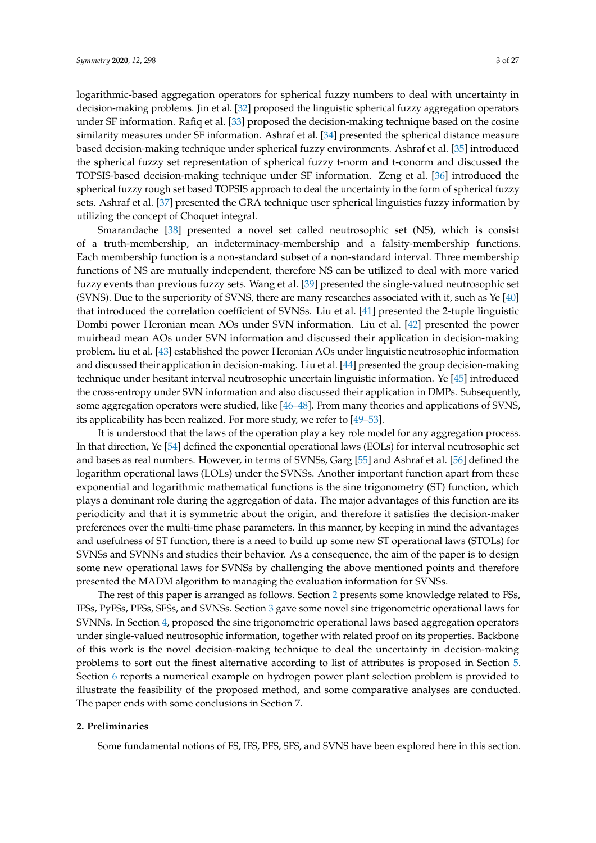logarithmic-based aggregation operators for spherical fuzzy numbers to deal with uncertainty in decision-making problems. Jin et al. [\[32\]](#page-25-4) proposed the linguistic spherical fuzzy aggregation operators under SF information. Rafiq et al. [\[33\]](#page-25-5) proposed the decision-making technique based on the cosine similarity measures under SF information. Ashraf et al. [\[34\]](#page-25-6) presented the spherical distance measure based decision-making technique under spherical fuzzy environments. Ashraf et al. [\[35\]](#page-25-7) introduced the spherical fuzzy set representation of spherical fuzzy t-norm and t-conorm and discussed the TOPSIS-based decision-making technique under SF information. Zeng et al. [\[36\]](#page-25-8) introduced the spherical fuzzy rough set based TOPSIS approach to deal the uncertainty in the form of spherical fuzzy sets. Ashraf et al. [\[37\]](#page-25-9) presented the GRA technique user spherical linguistics fuzzy information by utilizing the concept of Choquet integral.

Smarandache [\[38\]](#page-25-10) presented a novel set called neutrosophic set (NS), which is consist of a truth-membership, an indeterminacy-membership and a falsity-membership functions. Each membership function is a non-standard subset of a non-standard interval. Three membership functions of NS are mutually independent, therefore NS can be utilized to deal with more varied fuzzy events than previous fuzzy sets. Wang et al. [\[39\]](#page-25-11) presented the single-valued neutrosophic set (SVNS). Due to the superiority of SVNS, there are many researches associated with it, such as Ye [\[40\]](#page-25-12) that introduced the correlation coefficient of SVNSs. Liu et al. [\[41\]](#page-25-13) presented the 2-tuple linguistic Dombi power Heronian mean AOs under SVN information. Liu et al. [\[42\]](#page-25-14) presented the power muirhead mean AOs under SVN information and discussed their application in decision-making problem. liu et al. [\[43\]](#page-25-15) established the power Heronian AOs under linguistic neutrosophic information and discussed their application in decision-making. Liu et al. [\[44\]](#page-25-16) presented the group decision-making technique under hesitant interval neutrosophic uncertain linguistic information. Ye [\[45\]](#page-25-17) introduced the cross-entropy under SVN information and also discussed their application in DMPs. Subsequently, some aggregation operators were studied, like [\[46–](#page-25-18)[48\]](#page-25-19). From many theories and applications of SVNS, its applicability has been realized. For more study, we refer to [\[49](#page-25-20)[–53\]](#page-26-0).

It is understood that the laws of the operation play a key role model for any aggregation process. In that direction, Ye [\[54\]](#page-26-1) defined the exponential operational laws (EOLs) for interval neutrosophic set and bases as real numbers. However, in terms of SVNSs, Garg [\[55\]](#page-26-2) and Ashraf et al. [\[56\]](#page-26-3) defined the logarithm operational laws (LOLs) under the SVNSs. Another important function apart from these exponential and logarithmic mathematical functions is the sine trigonometry (ST) function, which plays a dominant role during the aggregation of data. The major advantages of this function are its periodicity and that it is symmetric about the origin, and therefore it satisfies the decision-maker preferences over the multi-time phase parameters. In this manner, by keeping in mind the advantages and usefulness of ST function, there is a need to build up some new ST operational laws (STOLs) for SVNSs and SVNNs and studies their behavior. As a consequence, the aim of the paper is to design some new operational laws for SVNSs by challenging the above mentioned points and therefore presented the MADM algorithm to managing the evaluation information for SVNSs.

The rest of this paper is arranged as follows. Section [2](#page-2-0) presents some knowledge related to FSs, IFSs, PyFSs, PFSs, SFSs, and SVNSs. Section [3](#page-4-0) gave some novel sine trigonometric operational laws for SVNNs. In Section [4,](#page-8-0) proposed the sine trigonometric operational laws based aggregation operators under single-valued neutrosophic information, together with related proof on its properties. Backbone of this work is the novel decision-making technique to deal the uncertainty in decision-making problems to sort out the finest alternative according to list of attributes is proposed in Section [5.](#page-19-0) Section [6](#page-20-0) reports a numerical example on hydrogen power plant selection problem is provided to illustrate the feasibility of the proposed method, and some comparative analyses are conducted. The paper ends with some conclusions in Section 7.

#### <span id="page-2-0"></span>**2. Preliminaries**

Some fundamental notions of FS, IFS, PFS, SFS, and SVNS have been explored here in this section.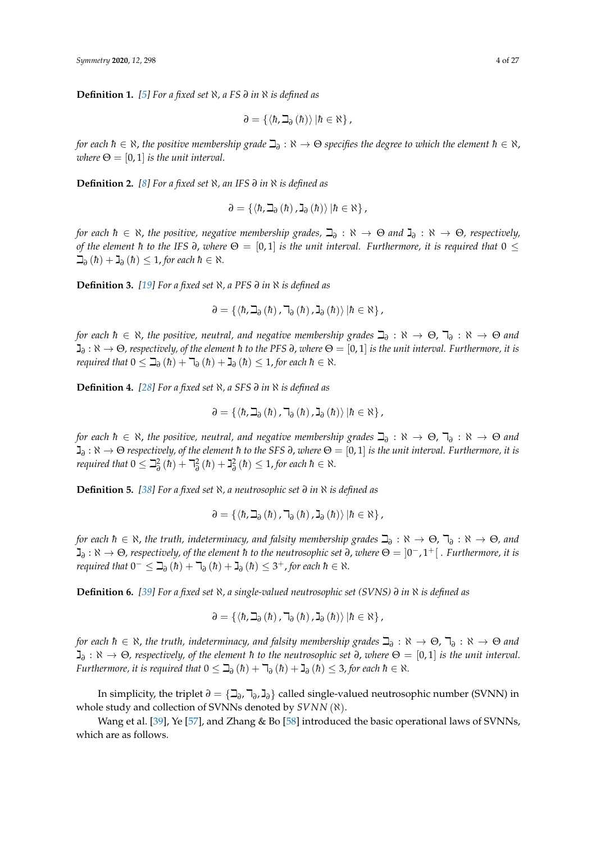**Definition 1.** *[\[5\]](#page-24-4) For a fixed set* ℵ*, a FS ∂ in* ℵ *is defined as*

$$
\partial = \{ \langle \hbar, \beth_{\partial} (\hbar) \rangle | \hbar \in \aleph \},
$$

 $f$ or each  $\hbar\in\aleph$ , the positive membership grade  $\beth_\partial:\aleph\to\Theta$  specifies the degree to which the element  $\hbar\in\aleph$ , *where*  $\Theta = [0, 1]$  *is the unit interval.* 

**Definition 2.** *[\[8\]](#page-24-7) For a fixed set* ℵ*, an IFS ∂ in* ℵ *is defined as*

$$
\partial = \{ \left\langle \hbar, \beth_{\partial}\left(\hbar\right), \mathbb{J}_{\partial}\left(\hbar\right) \right\rangle | \hbar \in \aleph \} \, ,
$$

*for each*  $h \in \aleph$ *, the positive, negative membership grades,*  $\Box_{\partial}$  :  $\aleph \to \Theta$  and  $\Box_{\partial}$  :  $\aleph \to \Theta$ , respectively, *of the element h* to the IFS  $\partial$ , *where*  $\Theta = [0, 1]$  *is the unit interval. Furthermore, it is required that*  $0 \leq$  $\Box$ <sub>∂</sub> (*h*) +  $\Box$ <sub>∂</sub> (*h*) ≤ 1, *for each h* ∈  $\aleph$ *.* 

**Definition 3.** *[\[19\]](#page-24-13) For a fixed set* ℵ*, a PFS ∂ in* ℵ *is defined as*

$$
\partial = \{ \left\langle \hbar,\beth_{\partial}\left(\hbar\right),\daleth_{\partial}\left(\hbar\right),\gimel_{\partial}\left(\hbar\right) \right\rangle | \hbar \in \aleph \} \, ,
$$

*for each*  $h \in \aleph$ *, the positive, neutral, and negative membership grades*  $\Box_\partial : \aleph \to \Theta$ ,  $\Box_\partial : \aleph \to \Theta$  and  $\gimel_0:\aleph\to\Theta$ , respectively, of the element ħ to the PFS ∂, where  $\Theta=[0,1]$  is the unit interval. Furthermore, it is *required that*  $0 \leq \mathbb{J}_{\partial}$   $(h) + \mathbb{J}_{\partial}$   $(h) + \mathbb{J}_{\partial}$   $(h) \leq 1$ , *for each*  $h \in \mathbb{N}$ *.* 

**Definition 4.** *[\[28\]](#page-25-0) For a fixed set* ℵ*, a SFS ∂ in* ℵ *is defined as*

$$
\partial = \{ \left\langle \hbar,\beth_{\partial}\left(\hbar\right),\daleth_{\partial}\left(\hbar\right),\gimel_{\partial}\left(\hbar\right) \right\rangle | \hbar \in \aleph \} \, ,
$$

*for each*  $h \in \aleph$ *, the positive, neutral, and negative membership grades*  $\Box_\partial : \aleph \to \Theta$ ,  $\Box_\partial : \aleph \to \Theta$  and  $\gimel$ <sub>∂</sub> :  $\aleph$  →  $\Theta$  *respectively, of the element ħ to the SFS* ∂, where  $\Theta = [0,1]$  *is the unit interval. Furthermore, it is required that*  $0 \leq \beth_0^2(h) + \daleth_0^2(h) + \gimel_0^2(h) \leq 1$ , for each  $h \in \aleph$ .

**Definition 5.** *[\[38\]](#page-25-10) For a fixed set* ℵ*, a neutrosophic set ∂ in* ℵ *is defined as*

$$
\partial = \{ \left\langle \hbar,\beth_{\partial}\left(\hbar\right),\daleth_{\partial}\left(\hbar\right),\verb"J"_{\partial}\left(\hbar\right)\right\rangle \left|\hbar\in \aleph\right\} ,
$$

*for each*  $h \in \aleph$ *, the truth, indeterminacy, and falsity membership grades*  $\Box_\partial:\aleph\to\Theta$ ,  $\Box_\partial:\aleph\to\Theta$ , and  $\gimel_∂: \aleph → Θ$ , respectively, of the element ħ to the neutrosophic set ∂, where  $Θ = \ket{0^-, 1^+}[$  . Furthermore, it is *required that*  $0^{-} \leq \mathcal{I}_{\partial}(\hbar) + \mathcal{I}_{\partial}(\hbar) + \mathcal{I}_{\partial}(\hbar) \leq 3^{+}$ , for each  $\hbar \in \aleph$ .

**Definition 6.** *[\[39\]](#page-25-11) For a fixed set* ℵ*, a single-valued neutrosophic set (SVNS) ∂ in* ℵ *is defined as*

$$
\partial = \{ \langle \hbar, \beth_{\partial}\left( \hbar \right), \daleth_{\partial}\left( \hbar \right), \verb"J"_{\partial}\left( \hbar \right) \rangle \left| \hbar \in \aleph \right\},
$$

*for each*  $h \in \aleph$ *, the truth, indeterminacy, and falsity membership grades*  $\Box_\partial:\aleph\to\Theta$ ,  $\Box_\partial:\aleph\to\Theta$  and  $\gimel$ <sub>∂</sub> :  $\aleph \to \Theta$ , respectively, of the element *ħ* to the neutrosophic set ∂, where  $\Theta = [0,1]$  is the unit interval. *Furthermore, it is required that*  $0 \leq \mathbf{J}_{\partial}$   $(h) + \mathbf{J}_{\partial}$   $(h) + \mathbf{J}_{\partial}$   $(h) \leq 3$ , *for each*  $h \in \mathbb{N}$ .

In simplicity, the triplet  $\partial = \{\beth_{\partial}, \daleth_{\partial}, \text{J}_{\partial}\}\$ called single-valued neutrosophic number (SVNN) in whole study and collection of SVNNs denoted by *SVNN* (ℵ).

Wang et al. [\[39\]](#page-25-11), Ye [\[57\]](#page-26-4), and Zhang & Bo [\[58\]](#page-26-5) introduced the basic operational laws of SVNNs, which are as follows.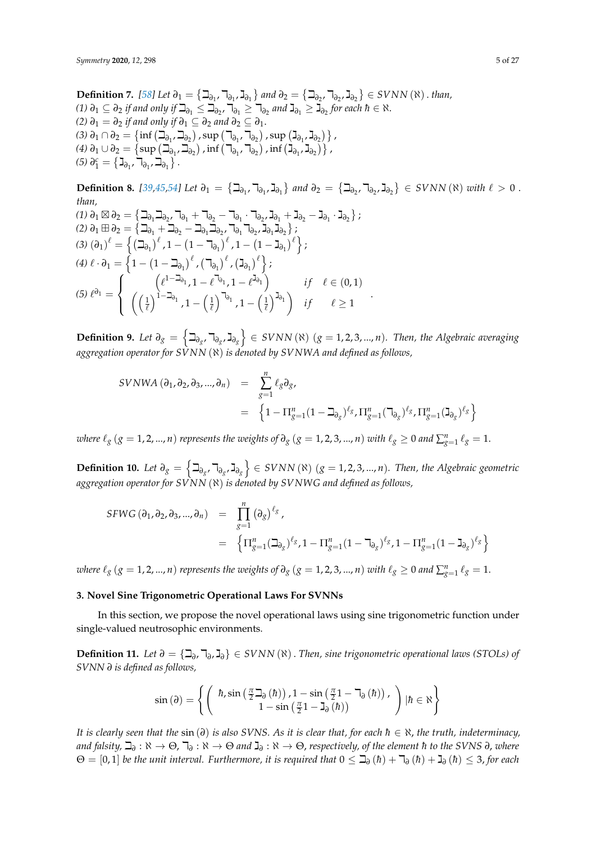**Definition** 7. [\[58\]](#page-26-5) Let  $\partial_1 = \{ \Box_{\partial_1}, \Box_{\partial_1}, \Box_{\partial_1} \}$  and  $\partial_2 = \{ \Box_{\partial_2}, \Box_{\partial_2}, \Box_{\partial_2} \} \in SVNN$  (ℕ) . than, *(1)*  $\partial_1 \subseteq \partial_2$  *if and only if*  $\beth_{\partial_1} \leq \beth_{\partial_2}$ ,  $\daleth_{\partial_1} \geq \daleth_{\partial_2}$  *and*  $\daleth_{\partial_1} \geq \gimel_{\partial_2}$  for each  $\hbar \in \aleph$ . *(2)*  $\partial_1 = \partial_2$  *if and only if*  $\partial_1 \subseteq \partial_2$  *and*  $\partial_2 \subseteq \partial_1$ *. (3)*  $\partial_1 \cap \partial_2 = \{ \inf \left( \beth_{\partial_1}, \beth_{\partial_2} \right)$ , sup  $\left( \daleth_{\partial_1}, \daleth_{\partial_2} \right)$ , sup  $\left( \gimel_{\partial_1}, \gimel_{\partial_2} \right) \}$ ,  $\delta(4)$   $\partial_1 \cup \partial_2 = \left\{ \sup \left( \beth_{\partial_1} \square_{\partial_2} \right) \textrm{,} \inf \left( \daleth_{\partial_1} \square_{\partial_2} \right) \textrm{,} \inf \left( \beth_{\partial_1} \square_{\partial_2} \right) \right\}$  $(5) \partial_1^c = \left\{ \mathbf{J}_{\partial_1}, \mathbf{J}_{\partial_1}, \mathbf{J}_{\partial_1} \right\}.$ 

**Definition 8.** [\[39,](#page-25-11)[45,](#page-25-17)[54\]](#page-26-1) Let  $\partial_1 = \{ \Box_{\partial_1}, \Box_{\partial_1}, \Box_{\partial_1} \}$  and  $\partial_2 = \{ \Box_{\partial_2}, \Box_{\partial_2}, \Box_{\partial_2} \} \in SVNN$  (ℕ) with  $\ell > 0$ . *than,*

$$
(1) \partial_1 \boxtimes \partial_2 = \left\{ \mathbf{1}_{\partial_1} \mathbf{1}_{\partial_2}, \mathbf{1}_{\partial_1} + \mathbf{1}_{\partial_2} - \mathbf{1}_{\partial_1} \cdot \mathbf{1}_{\partial_2}, \mathbf{1}_{\partial_1} + \mathbf{1}_{\partial_2} - \mathbf{1}_{\partial_1} \cdot \mathbf{1}_{\partial_2} \right\};
$$
\n
$$
(2) \partial_1 \boxplus \partial_2 = \left\{ \mathbf{1}_{\partial_1} + \mathbf{1}_{\partial_2} - \mathbf{1}_{\partial_1} \mathbf{1}_{\partial_2}, \mathbf{1}_{\partial_1} \mathbf{1}_{\partial_2}, \mathbf{1}_{\partial_1} \mathbf{1}_{\partial_2} \right\};
$$
\n
$$
(3) \left( \partial_1 \right)^{\ell} = \left\{ \left( \mathbf{1}_{\partial_1} \right)^{\ell}, 1 - \left( 1 - \mathbf{1}_{\partial_1} \right)^{\ell}, 1 - \left( 1 - \mathbf{1}_{\partial_1} \right)^{\ell} \right\};
$$
\n
$$
(4) \ell \cdot \partial_1 = \left\{ 1 - \left( 1 - \mathbf{1}_{\partial_1} \right)^{\ell}, \left( \mathbf{1}_{\partial_1} \right)^{\ell}, \left( \mathbf{1}_{\partial_1} \right)^{\ell} \right\};
$$
\n
$$
(5) \ell^{\partial_1} = \left\{ \left( \left( \frac{\ell^{1 - \mathbf{1}_{\partial_1}}}{\ell} \right)^{1 - \mathbf{1}_{\partial_1}} \right)^{1 - \mathbf{1}_{\partial_1}} \right\} \quad \text{if} \quad \ell \in (0, 1)
$$

**Definition 9.** Let  $\partial_g = \left\{ \exists_{\partial_g}, \exists_{\partial_g} \right\}$  ∈ SVNN( $\aleph$ ) (*g* = 1, 2, 3, ..., *n*). Then, the Algebraic averaging *aggregation operator for SVNN* (ℵ) *is denoted by SVNWA and defined as follows,*

.

$$
SUNWA (\partial_1, \partial_2, \partial_3, ..., \partial_n) = \sum_{g=1}^n \ell_g \partial_g,
$$
  
=  $\{1 - \Pi_{g=1}^n (1 - \Delta_{\partial_g})^{\ell_g}, \Pi_{g=1}^n (\Delta_{\partial_g})^{\ell_g}, \Pi_{g=1}^n (\Delta_{\partial_g})^{\ell_g}\}$ 

*where*  $\ell_g$  ( $g = 1, 2, ..., n$ ) *represents the weights of*  $\partial_g$  ( $g = 1, 2, 3, ..., n$ ) *with*  $\ell_g \ge 0$  and  $\sum_{g=1}^n \ell_g = 1$ .

**Definition 10.** Let  $\partial_g = \left\{\exists_{\partial_g}, \exists_{\partial_g}, \exists_{\partial_g}\right\}$  ∈ SVNN (ℕ) ( $g = 1, 2, 3, ..., n$ ). Then, the Algebraic geometric *aggregation operator for SVNN* (ℵ) *is denoted by SVNWG and defined as follows,*

$$
SFWG (\partial_1, \partial_2, \partial_3, ..., \partial_n) = \prod_{g=1}^n (\partial_g)^{\ell_g},
$$
  
=  $\{ \Pi_{g=1}^n (\beth_{\partial_g})^{\ell_g}, 1 - \Pi_{g=1}^n (1 - \beth_{\partial_g})^{\ell_g}, 1 - \Pi_{g=1}^n (1 - \beth_{\partial_g})^{\ell_g} \}$ 

*where*  $\ell_g$  ( $g = 1, 2, ..., n$ ) *represents the weights of*  $\partial_g$  ( $g = 1, 2, 3, ..., n$ ) *with*  $\ell_g \ge 0$  and  $\sum_{g=1}^n \ell_g = 1$ .

#### <span id="page-4-0"></span>**3. Novel Sine Trigonometric Operational Laws For SVNNs**

In this section, we propose the novel operational laws using sine trigonometric function under single-valued neutrosophic environments.

<span id="page-4-1"></span>**Definition 11.** *Let*  $\partial = \{\exists_{\partial}, \exists_{\partial}, \exists_{\partial}\}\in SVNN(\aleph)$  *. Then, sine trigonometric operational laws (STOLs) of SVNN ∂ is defined as follows,*

$$
\sin\left(\partial\right) = \left\{ \left( \begin{array}{c} \hbar, \sin\left(\frac{\pi}{2} \beth_{\partial}\left(\hbar\right)\right), 1 - \sin\left(\frac{\pi}{2} 1 - \daleth_{\partial}\left(\hbar\right)\right), \\ 1 - \sin\left(\frac{\pi}{2} 1 - \beth_{\partial}\left(\hbar\right)\right) \end{array} \right) \middle| \hbar \in \aleph \right\}
$$

*It is clearly seen that the*  $\sin(\partial)$  *is also SVNS. As it is clear that, for each*  $h \in \mathcal{X}$ *, the truth, indeterminacy,*  $a$ nd falsity,  $\Box$ <sub>∂</sub> : ℕ  $\rightarrow$  ⊖,  $\daleth$ <sub>∂</sub> : ℕ  $\rightarrow$  ⊖ and  $\Box$ <sub>∂</sub> : ℕ  $\rightarrow$  ⊖, respectively, of the element ħ to the SVNS ∂, where  $\Theta = [0,1]$  *be the unit interval. Furthermore, it is required that*  $0 \leq \beth_{\partial}(h) + \daleth_{\partial}(h) + \gimel_{\partial}(h) \leq 3$ , for each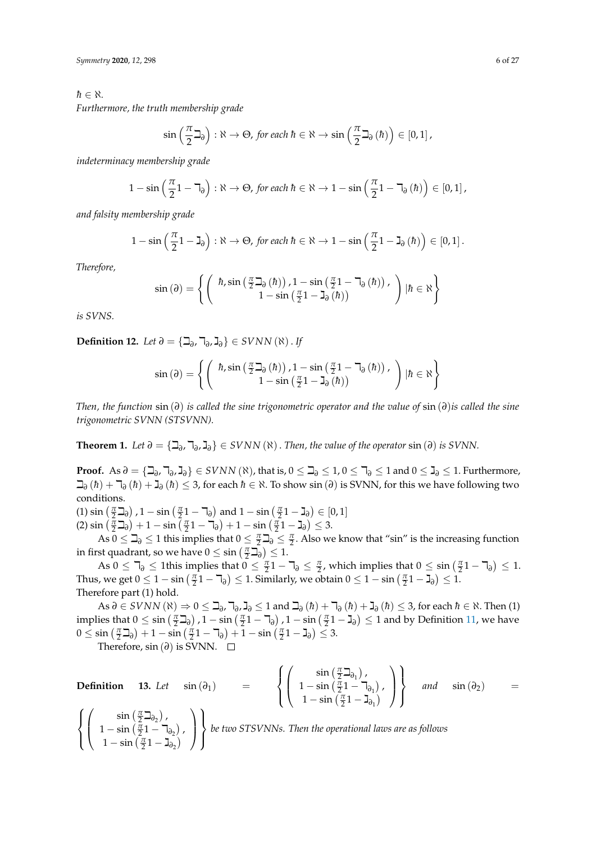$h \in \aleph$ *.* 

*Furthermore, the truth membership grade*

$$
\sin\left(\frac{\pi}{2}\beth_{\partial}\right):\aleph\to\Theta, \text{ for each }\hbar\in\aleph\to\sin\left(\frac{\pi}{2}\beth_{\partial}\left(\hbar\right)\right)\in\left[0,1\right],
$$

*indeterminacy membership grade*

$$
1 - \sin\left(\frac{\pi}{2}1 - \mathbb{I}_{\partial}\right) : \aleph \to \Theta, \text{ for each } \hbar \in \aleph \to 1 - \sin\left(\frac{\pi}{2}1 - \mathbb{I}_{\partial}\left(\hbar\right)\right) \in [0, 1],
$$

*and falsity membership grade*

$$
1 - \sin\left(\frac{\pi}{2} - \mathbf{I}_{\partial}\right) : \aleph \to \Theta, \text{ for each } \hbar \in \aleph \to 1 - \sin\left(\frac{\pi}{2} - \mathbf{I}_{\partial}\left(\hbar\right)\right) \in [0, 1].
$$

*Therefore,*

$$
\sin(\partial) = \left\{ \begin{pmatrix} \hbar, \sin\left(\frac{\pi}{2} \mathbf{I}_{\partial}(\hbar)\right), 1 - \sin\left(\frac{\pi}{2} 1 - \mathbf{I}_{\partial}(\hbar)\right), \\ 1 - \sin\left(\frac{\pi}{2} 1 - \mathbf{I}_{\partial}(\hbar)\right) \end{pmatrix} | \hbar \in \aleph \right\}
$$

*is SVNS.*

<span id="page-5-0"></span>**Definition 12.** *Let*  $\partial = \{ \Box_{\partial}, \Box_{\partial}, \Box_{\partial} \} \in SVNN$  ( $\aleph$ ). *If* 

$$
\sin(\partial) = \left\{ \left( \begin{array}{c} \hbar, \sin\left(\frac{\pi}{2} \beth_{\partial}(\hbar)\right), 1 - \sin\left(\frac{\pi}{2} 1 - \daleth_{\partial}(\hbar)\right), \\ 1 - \sin\left(\frac{\pi}{2} 1 - \beth_{\partial}(\hbar)\right) \end{array} \right) | \hbar \in \aleph \right\}
$$

*Then, the function* sin (*∂*) *is called the sine trigonometric operator and the value of* sin (*∂*)*is called the sine trigonometric SVNN (STSVNN).*

**Theorem 1.** *Let*  $\partial = {\mathcal{A}}$ <sub>∂</sub>,  $\mathcal{A}$ <sub>∂</sub>,  $\mathcal{A}$ <sub>∂</sub>}  $\in$  *SVNN* ( $\aleph$ ). *Then, the value of the operator* sin ( $\partial$ ) *is SVNN*.

**Proof.** As  $\partial = {\{\exists_{\partial}, \exists_{\partial}, \exists_{\partial}\}} \in SVNN(\aleph)$ , that is,  $0 \leq \exists_{\partial} \leq 1$ ,  $0 \leq \exists_{\partial} \leq 1$  and  $0 \leq \mathbf{J}_{\partial} \leq 1$ . Furthermore,  $\exists$ <sup>∂</sup> (*h*) +  $\exists$ <sup>∂</sup> (*h*) +  $\exists$ <sup>∂</sup> (*h*) ≤ 3, for each *h* ∈  $\&$ . To show sin (∂) is SVNN, for this we have following two conditions.

(1)  $\sin\left(\frac{\pi}{2} \mathbf{I}_{\partial}\right)$ ,  $1 - \sin\left(\frac{\pi}{2} \mathbf{1} - \mathbf{I}_{\partial}\right)$  and  $1 - \sin\left(\frac{\pi}{2} \mathbf{1} - \mathbf{I}_{\partial}\right) \in [0, 1]$  $\left(\frac{\pi}{2} \mathbf{I}_{\partial}\right) + 1 - \sin\left(\frac{\pi}{2} \mathbf{1} - \mathbf{I}_{\partial}\right) + 1 - \sin\left(\frac{\pi}{2} \mathbf{1} - \mathbf{I}_{\partial}\right) \leq 3.$ 

As  $0 \leq \beth_{\partial} \leq 1$  this implies that  $0 \leq \frac{\pi}{2} \beth_{\partial} \leq \frac{\pi}{2}$ . Also we know that "sin" is the increasing function in first quadrant, so we have  $0 \leq \sin\left(\frac{\pi}{2}\right) \leq 1$ .

As  $0 \leq \mathbb{k}^2$  sin  $\left(\frac{\pi}{2} - \mathbb{k}\right)$  and  $\mathbb{k}^2$  is that  $0 \leq \frac{\pi}{2}$  and  $\mathbb{k}$  is that  $0 \leq \sin\left(\frac{\pi}{2} - \mathbb{k}\right)$  and  $\mathbb{k}$  sin  $\left(\frac{\pi}{2} - \mathbb{k}\right)$  and  $\mathbb{k}$  is that  $0 \leq \sin\left(\frac{\pi}{2} - \mathbb{k}\right)$  and  $\mathbb{k}$  sin Thus, we get  $0 \leq 1 - \sin\left(\frac{\pi}{2} - \mathbb{I}_\partial\right) \leq 1$ . Similarly, we obtain  $0 \leq 1 - \sin\left(\frac{\pi}{2} - \mathbb{I}_\partial\right) \leq 1$ . Therefore part (1) hold.

 $\overline{A}$  and  $\overline{A}$ <sub>*∂*</sub> (*h*) +  $\overline{A}$ <sub>*∂*</sub> (*h*) +  $\overline{A}$ <sub>*∂*</sub> (*h*)  $\overline{A}$   $\overline{A}$ *j* $\overline{A}$ *j* $\overline{A}$ *j* $\overline{A}$ *j* $\overline{A}$ *j* $\overline{A}$ *j* $\overline{A}$ *j* $\overline{A}$ *j* $\overline{A}$ *j* $\overline{A}$ *j* $\overline{A}$ *j* $\overline{A}$ *j* $\over$ implies that  $0 \leq \sin\left(\frac{\pi}{2} \mathbf{1}_{\partial}\right)$ ,  $1 - \sin\left(\frac{\pi}{2} \mathbf{1} - \mathbf{1}_{\partial}\right)$ ,  $1 - \sin\left(\frac{\pi}{2} \mathbf{1} - \mathbf{1}_{\partial}\right) \leq 1$  and by Definition [11,](#page-4-1) we have  $0 \leq \sin\left(\frac{\pi}{2}\mathbb{Z}_{\partial}\right) + 1 - \sin\left(\frac{\pi}{2}\mathbb{1} - \mathbb{Z}_{\partial}\right) + 1 - \sin\left(\frac{\pi}{2}\mathbb{1} - \mathbb{Z}_{\partial}\right) \leq 3.$ 

Therefore, sin ( $\partial$ ) is SVNN. □

<span id="page-5-1"></span>**Definition** 13. Let 
$$
sin(\partial_1)
$$
 = 
$$
\left\{ \begin{pmatrix} sin(\frac{\pi}{2} \mathbf{1}_{\partial_1}), \\ 1 - sin(\frac{\pi}{2} \mathbf{1} - \mathbf{1}_{\partial_1}), \\ 1 - sin(\frac{\pi}{2} \mathbf{1}_{\partial_2}), \\ 1 - sin(\frac{\pi}{2} \mathbf{1} - \mathbf{1}_{\partial_2}) \end{pmatrix} \right\}
$$
 and  $sin(\partial_2)$  = 
$$
\left\{ \begin{pmatrix} sin(\frac{\pi}{2} \mathbf{1}_{\partial_1}), \\ 1 - sin(\frac{\pi}{2} \mathbf{1}_{\partial_2}), \\ 1 - sin(\frac{\pi}{2} \mathbf{1}_{\partial_2}) \end{pmatrix} \right\}
$$
 be two STSVNNs. Then the operational laws are as follows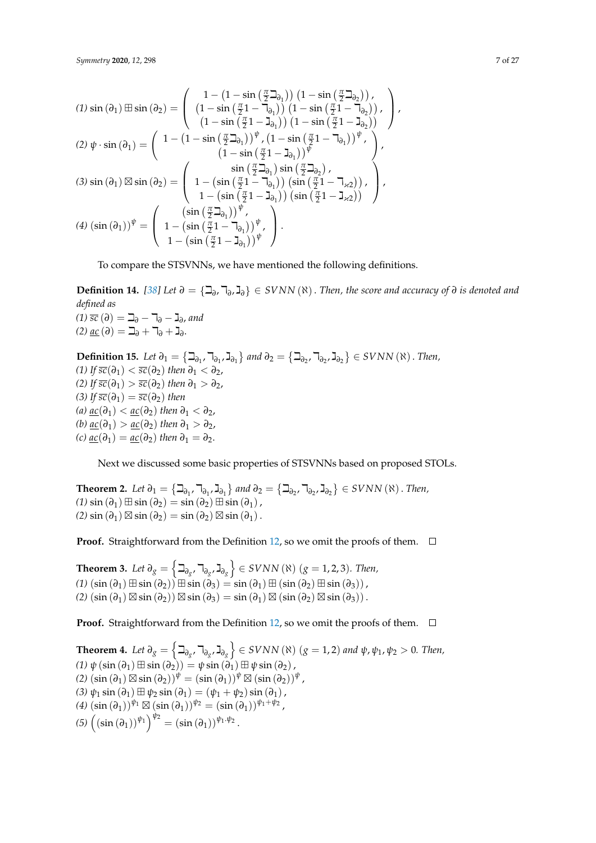*Symmetry* **2020**, 12, 298 7 of 27

$$
(1) \sin(\partial_1) \boxplus \sin(\partial_2) = \begin{pmatrix} 1 - (1 - \sin(\frac{\pi}{2}\mathfrak{I}_{\partial_1})) (1 - \sin(\frac{\pi}{2}\mathfrak{I}_{\partial_2})), \\ (1 - \sin(\frac{\pi}{2}1 - \mathfrak{I}_{\partial_1})) (1 - \sin(\frac{\pi}{2}1 - \mathfrak{I}_{\partial_2})), \\ (1 - \sin(\frac{\pi}{2}1 - \mathfrak{I}_{\partial_1})) (1 - \sin(\frac{\pi}{2}1 - \mathfrak{I}_{\partial_2})) \end{pmatrix},
$$
  
\n
$$
(2) \psi \cdot \sin(\partial_1) = \begin{pmatrix} 1 - (1 - \sin(\frac{\pi}{2}\mathfrak{I}_{\partial_1})) \psi, (1 - \sin(\frac{\pi}{2}1 - \mathfrak{I}_{\partial_1})) \psi, \\ (1 - \sin(\frac{\pi}{2}1 - \mathfrak{I}_{\partial_1})) \psi \end{pmatrix},
$$
  
\n
$$
(3) \sin(\partial_1) \boxtimes \sin(\partial_2) = \begin{pmatrix} \sin(\frac{\pi}{2}\mathfrak{I}_{\partial_1}) \sin(\frac{\pi}{2}\mathfrak{I}_{\partial_2}), \\ 1 - (\sin(\frac{\pi}{2}1 - \mathfrak{I}_{\partial_1})) (\sin(\frac{\pi}{2}1 - \mathfrak{I}_{\chi_2})), \\ 1 - (\sin(\frac{\pi}{2}\mathfrak{I}_{\partial_1})) \psi, \\ (4) (\sin(\partial_1)) \psi = \begin{pmatrix} (\sin(\frac{\pi}{2}\mathfrak{I}_{\partial_1})) \psi, \\ 1 - (\sin(\frac{\pi}{2}\mathfrak{I}_{\partial_1})) \psi, \\ 1 - (\sin(\frac{\pi}{2}\mathfrak{I}_{\partial_1})) \psi \end{pmatrix}. \end{pmatrix}.
$$

To compare the STSVNNs, we have mentioned the following definitions.

**Definition 14.** *[\[38\]](#page-25-10)* Let  $\partial = \{\exists_{\partial}, \exists_{\partial}, \exists_{\partial}\}\in SVNN(\aleph)$ . *Then, the score and accuracy of*  $\partial$  *is denoted and defined as (1) sc* (*∂*) <sup>=</sup> <sup>i</sup>*<sup>∂</sup>* <sup>−</sup> <sup>k</sup>*<sup>∂</sup>* <sup>−</sup> <sup>ג</sup>*<sup>∂</sup>* , *and (2)* <u>*ac*</u> (∂) = **j**<sub>∂</sub> + **j**<sub>∂</sub> + **j**<sub>∂</sub>.

**Definition 15.** Let  $\partial_1 = \{ \Box_{\partial_1}, \Box_{\partial_1}, \Box_{\partial_1} \}$  and  $\partial_2 = \{ \Box_{\partial_2}, \Box_{\partial_2}, \Box_{\partial_2} \} \in SVNN(\aleph)$ . Then, *(1) If*  $\overline{sc}(\partial_1) < \overline{sc}(\partial_2)$  *then*  $\partial_1 < \partial_2$ *, (2) If*  $\overline{sc}(\partial_1) > \overline{sc}(\partial_2)$  *then*  $\partial_1 > \partial_2$ , *(3) If*  $\overline{sc}(\partial_1) = \overline{sc}(\partial_2)$  *then (a)*  $ac(\partial_1) < ac(\partial_2)$  *then*  $\partial_1 < \partial_2$ *, (b)*  $\mathop{ac}(\partial_1)$  >  $\mathop{ac}(\partial_2)$  *then*  $\partial_1$  >  $\partial_2$ *, (c)*  $ac(\partial_1) = ac(\partial_2)$  *then*  $\partial_1 = \partial_2$ .

Next we discussed some basic properties of STSVNNs based on proposed STOLs.

**Theorem 2.** Let  $\partial_1 = \{ \Box_{\partial_1}, \Box_{\partial_1}, \Box_{\partial_1} \}$  and  $\partial_2 = \{ \Box_{\partial_2}, \Box_{\partial_2}, \Box_{\partial_2} \} \in \mathcal{S}VNN(\aleph)$ . Then,  $(1)$  sin  $(\partial_1) \boxplus \sin (\partial_2) = \sin (\partial_2) \boxplus \sin (\partial_1)$ ,  $(2)$  sin  $(\partial_1) \boxtimes \sin (\partial_2) = \sin (\partial_2) \boxtimes \sin (\partial_1)$ .

**Proof.** Straightforward from the Definition [12,](#page-5-0) so we omit the proofs of them.  $\Box$ 

**Theorem 3.** Let  $\partial_g = \left\{ \beth_{\partial_{g'}}, \daleth_{\partial_{g}}, \beth_{\partial_{g}} \right\}$  ∈ SVNN (ℕ) ( $g = 1, 2, 3$ )*. Then,*  $(1)$   $(\sin(\partial_1) \boxplus \sin(\partial_2)) \boxplus \sin(\partial_3) = \sin(\partial_1) \boxplus (\sin(\partial_2) \boxplus \sin(\partial_3)),$  $(2)$   $(\sin(\partial_1) \boxtimes \sin(\partial_2)) \boxtimes \sin(\partial_3) = \sin(\partial_1) \boxtimes (\sin(\partial_2) \boxtimes \sin(\partial_3)).$ 

**Proof.** Straightforward from the Definition [12,](#page-5-0) so we omit the proofs of them.  $\Box$ 

 $\textbf{Theorem 4.}$  *Let*  $\partial_g = \left\{ \beth_{\partial_g} , \beth_{\partial_g} , \beth_{\partial_g} \right\} \in \text{SVNN} \ (\aleph) \ (g = 1, 2)$  and  $\psi, \psi_1, \psi_2 > 0$ *. Then,*  $(1)$   $\psi$  (sin  $(\partial_1) \boxplus \sin (\partial_2)$ ) =  $\psi \sin (\partial_1) \boxplus \psi \sin (\partial_2)$ ,  $(2)\left(\sin\left(\partial_1\right) \boxtimes \sin\left(\partial_2\right)\right)^{\psi} = \left(\sin\left(\partial_1\right)\right)^{\psi} \boxtimes \left(\sin\left(\partial_2\right)\right)^{\psi}$ *(3)*  $ψ$ <sub>1</sub> sin ( $∂$ <sub>1</sub>)  $\boxplus$   $ψ$ <sub>2</sub> sin ( $∂$ <sub>1</sub>) = ( $ψ$ <sub>1</sub> +  $ψ$ <sub>2</sub>) sin ( $∂$ <sub>1</sub>),  $\left(4\right)\left(\sin\left(\partial_1\right)\right)^{\psi_1}\boxtimes\left(\sin\left(\partial_1\right)\right)^{\psi_2}=\left(\sin\left(\partial_1\right)\right)^{\psi_1+\psi_2}$  $(5)$   $\left( \left( \sin \left( \partial_1 \right) \right) ^{\psi_1} \right)^{\psi_2} = \left( \sin \left( \partial_1 \right) \right)^{\psi_1 \cdot \psi_2}.$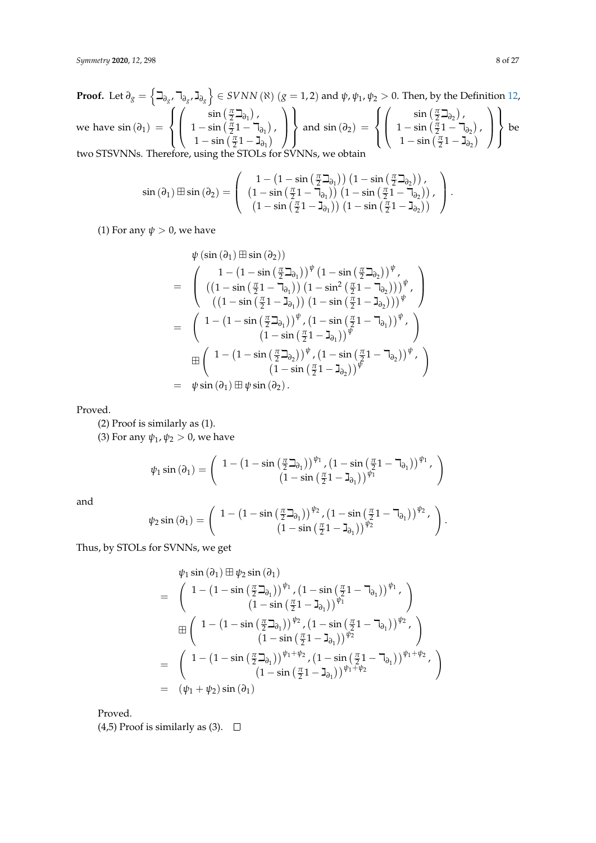**Proof.** Let 
$$
\partial_g = \left\{ \begin{matrix} \frac{1}{2} & \frac{1}{2} & \frac{1}{2} \\ \frac{1}{2} & \frac{1}{2} & \frac{1}{2} \\ 0 & 1 & -\sin\left(\frac{\pi}{2}\right) & -\sin\left(\frac{\pi}{2}\right) \end{matrix} \right\}
$$
 and  $\psi, \psi_1, \psi_2 > 0$ . Then, by the Definition 12, we have  $\sin(\partial_1) = \left\{ \begin{pmatrix} \sin\left(\frac{\pi}{2}\right) & \frac{1}{2} \\ 1 - \sin\left(\frac{\pi}{2}\right) & -\sin\left(\frac{\pi}{2}\right) \\ 1 - \sin\left(\frac{\pi}{2}\right) & -\sin\left(\frac{\pi}{2}\right) \end{pmatrix} \right\}$  and  $\sin(\partial_2) = \left\{ \begin{pmatrix} \sin\left(\frac{\pi}{2}\right) & \frac{1}{2} \\ 1 - \sin\left(\frac{\pi}{2}\right) & -\sin\left(\frac{\pi}{2}\right) \\ 1 - \sin\left(\frac{\pi}{2}\right) & -\sin\left(\frac{\pi}{2}\right) \end{pmatrix} \right\}$  be two STSVNNs. Therefore, using the STOLS for SVMNs, we obtain

$$
\sin\left(\partial_{1}\right) \boxplus \sin\left(\partial_{2}\right) = \left(\begin{array}{c} 1 - \left(1 - \sin\left(\frac{\pi}{2}\beth_{\partial_{1}}\right)\right)\left(1 - \sin\left(\frac{\pi}{2}\beth_{\partial_{2}}\right)\right), \\ \left(1 - \sin\left(\frac{\pi}{2}1 - \daleth_{\partial_{1}}\right)\right)\left(1 - \sin\left(\frac{\pi}{2}1 - \daleth_{\partial_{2}}\right)\right), \\ \left(1 - \sin\left(\frac{\pi}{2}1 - \beth_{\partial_{1}}\right)\right)\left(1 - \sin\left(\frac{\pi}{2}1 - \beth_{\partial_{2}}\right)\right) \end{array}\right).
$$

(1) For any  $\psi > 0$ , we have

$$
\psi(\sin(\partial_1) \boxplus \sin(\partial_2))
$$
\n
$$
= \begin{pmatrix}\n1 - (1 - \sin(\frac{\pi}{2}\mathfrak{I}_{\partial_1}))^{\psi} (1 - \sin(\frac{\pi}{2}\mathfrak{I}_{\partial_2}))^{\psi}, \\
((1 - \sin(\frac{\pi}{2}1 - \mathfrak{I}_{\partial_1})) (1 - \sin^2(\frac{\pi}{2}1 - \mathfrak{I}_{\partial_2})))^{\psi}, \\
((1 - \sin(\frac{\pi}{2}1 - \mathfrak{I}_{\partial_1})) (1 - \sin(\frac{\pi}{2}1 - \mathfrak{I}_{\partial_2})))^{\psi}\n\end{pmatrix}
$$
\n
$$
= \begin{pmatrix}\n1 - (1 - \sin(\frac{\pi}{2}\mathfrak{I}_{\partial_1}))^{\psi}, (1 - \sin(\frac{\pi}{2}1 - \mathfrak{I}_{\partial_1}))^{\psi}, \\
(1 - \sin(\frac{\pi}{2}1 - \mathfrak{I}_{\partial_1}))^{\psi}, \\
(1 - \sin(\frac{\pi}{2}\mathfrak{I}_{\partial_2}))^{\psi}, (1 - \sin(\frac{\pi}{2}1 - \mathfrak{I}_{\partial_2}))^{\psi}, \\
(1 - \sin(\frac{\pi}{2}1 - \mathfrak{I}_{\partial_2}))^{\psi}\n\end{pmatrix}
$$
\n
$$
= \psi \sin(\partial_1) \boxplus \psi \sin(\partial_2).
$$

Proved.

(2) Proof is similarly as (1).

(3) For any  $\psi_1$ ,  $\psi_2 > 0$ , we have

$$
\psi_1\sin\left(\partial_1\right)=\left(\begin{array}{c} 1-\left(1-\sin\left(\frac{\pi}{2}\beth_{\partial_1}\right)\right)^{\psi_1},\left(1-\sin\left(\frac{\pi}{2}1-\daleth_{\partial_1}\right)\right)^{\psi_1},\\ \left(1-\sin\left(\frac{\pi}{2}1-\beth_{\partial_1}\right)\right)^{\psi_1}\end{array}\right)
$$

and

$$
\psi_2\sin\left(\partial_1\right)=\left(\begin{array}{c} 1-\left(1-\sin\left(\frac{\pi}{2}\beth_{\partial_1}\right)\right)^{\psi_2}, \left(1-\sin\left(\frac{\pi}{2}1-\daleth_{\partial_1}\right)\right)^{\psi_2}, \\ \left(1-\sin\left(\frac{\pi}{2}1-\beth_{\partial_1}\right)\right)^{\psi_2} \end{array}\right).
$$

Thus, by STOLs for SVNNs, we get

$$
\psi_1 \sin(\partial_1) \boxplus \psi_2 \sin(\partial_1)
$$
\n
$$
= \begin{pmatrix}\n1 - (1 - \sin(\frac{\pi}{2} \mathbf{1}_{\partial_1}))^{\psi_1}, (1 - \sin(\frac{\pi}{2} \mathbf{1} - \mathbf{1}_{\partial_1}))^{\psi_1}, \\
(1 - \sin(\frac{\pi}{2} \mathbf{1} - \mathbf{1}_{\partial_1}))^{\psi_1}\n\end{pmatrix}
$$
\n
$$
\boxplus \begin{pmatrix}\n1 - (1 - \sin(\frac{\pi}{2} \mathbf{1}_{\partial_1}))^{\psi_2}, (1 - \sin(\frac{\pi}{2} \mathbf{1} - \mathbf{1}_{\partial_1}))^{\psi_2}, \\
(1 - \sin(\frac{\pi}{2} \mathbf{1} - \mathbf{1}_{\partial_1}))^{\psi_2}\n\end{pmatrix}
$$
\n
$$
= \begin{pmatrix}\n1 - (1 - \sin(\frac{\pi}{2} \mathbf{1}_{\partial_1}))^{\psi_1 + \psi_2}, (1 - \sin(\frac{\pi}{2} \mathbf{1} - \mathbf{1}_{\partial_1}))^{\psi_1 + \psi_2}, \\
(1 - \sin(\frac{\pi}{2} \mathbf{1} - \mathbf{1}_{\partial_1}))^{\psi_1 + \psi_2}\n\end{pmatrix}
$$
\n
$$
= (\psi_1 + \psi_2) \sin(\partial_1)
$$

Proved.

(4,5) Proof is similarly as (3).  $\Box$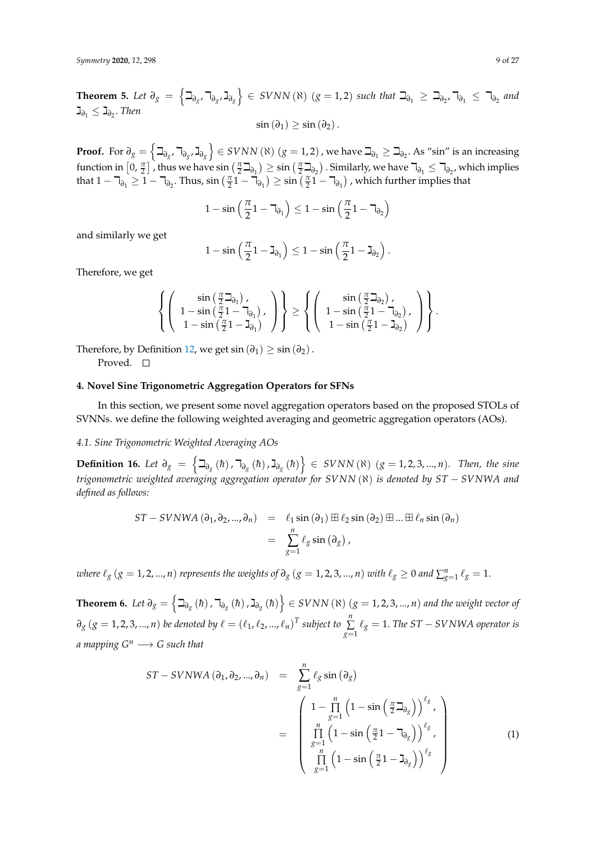$\mathbf{Theorem 5.}$  *Let*  $\partial_g = \left\{ \beth_{\partial_g}, \daleth_{\partial_g}, \mathbf{J}_{\partial_g} \right\} \in \mathit{SVNN}(\aleph)$   $(g=1,2)$  such that  $\beth_{\partial_1} \geq \beth_{\partial_2}, \daleth_{\partial_1} \leq \daleth_{\partial_2}$  and  $\mathbf{I}_{\partial_1}$  ≤  $\mathbf{I}_{\partial_2}$ . *Then*  $\sin (\partial_1) \geq \sin (\partial_2)$ .

 $\textbf{Proof. For } \partial_g = \left\{ \beth_{\partial_g} , \daleth_{\partial_g} \textsf{, } \beth_{\partial_g} \right\} \in \text{SVNN} \left( \aleph \right) (g=1,2)$  , we have  $\beth_{\partial_1} \geq \beth_{\partial_2}.$  As "sin" is an increasing function in  $[0, \frac{\pi}{2}]$  , thus we have  $\sin(\frac{\pi}{2}\beth_{\partial_1}) \geq \sin(\frac{\pi}{2}\beth_{\partial_2})$  . Similarly, we have  $\daleth_{\partial_1} \leq \daleth_{\partial_2}$ , which implies that  $1 - \overline{\mathcal{A}}_{\partial_1} \geq 1 - \overline{\mathcal{A}}_{\partial_2}$ . Thus,  $\sin\left(\frac{\pi}{2}1 - \overline{\mathcal{A}}_{\partial_1}\right) \geq \sin\left(\frac{\pi}{2}1 - \overline{\mathcal{A}}_{\partial_1}\right)$ , which further implies that

$$
1-\sin\left(\frac{\pi}{2}1-\mathbb{k}_{\partial_1}\right)\leq 1-\sin\left(\frac{\pi}{2}1-\mathbb{k}_{\partial_2}\right)
$$

and similarly we get

$$
1-\sin\left(\frac{\pi}{2}\mathbb{1}-\mathbb{J}_{\partial_1}\right)\leq 1-\sin\left(\frac{\pi}{2}\mathbb{1}-\mathbb{J}_{\partial_2}\right).
$$

Therefore, we get

$$
\left\{\left(\begin{array}{c} \sin\left(\frac{\pi}{2}\beth_{\partial_1}\right), \\ 1-\sin\left(\frac{\pi}{2}1-\daleth_{\partial_1}\right), \\ 1-\sin\left(\frac{\pi}{2}1-\beth_{\partial_1}\right) \end{array}\right)\right\}\geq\left\{\left(\begin{array}{c} \sin\left(\frac{\pi}{2}\beth_{\partial_2}\right), \\ 1-\sin\left(\frac{\pi}{2}1-\daleth_{\partial_2}\right), \\ 1-\sin\left(\frac{\pi}{2}1-\beth_{\partial_2}\right) \end{array}\right)\right\}.
$$

Therefore, by Definition [12,](#page-5-0) we get  $\sin(\partial_1) \geq \sin(\partial_2)$ .

Proved. □

#### <span id="page-8-0"></span>**4. Novel Sine Trigonometric Aggregation Operators for SFNs**

In this section, we present some novel aggregation operators based on the proposed STOLs of SVNNs. we define the following weighted averaging and geometric aggregation operators (AOs).

#### *4.1. Sine Trigonometric Weighted Averaging AOs*

**Definition 16.** Let  $\partial_g = \left\{ \exists_{\partial_g} (\hbar)$ ,  $\exists_{\partial_g} (\hbar)$ ,  $\exists_{\partial_g} (\hbar) \right\}$  ∈ SVNN( $\aleph$ ) ( $g = 1, 2, 3, ..., n$ ). Then, the sine *trigonometric weighted averaging aggregation operator for SVNN* (ℵ) *is denoted by ST* − *SVNWA and defined as follows:*

$$
ST-SVNWA (\partial_1, \partial_2, ..., \partial_n) = \ell_1 \sin (\partial_1) \boxplus \ell_2 \sin (\partial_2) \boxplus ... \boxplus \ell_n \sin (\partial_n)
$$
  
= 
$$
\sum_{g=1}^n \ell_g \sin (\partial_g),
$$

*where*  $\ell_g$  ( $g = 1, 2, ..., n$ ) *represents the weights of*  $\partial_g$  ( $g = 1, 2, 3, ..., n$ ) *with*  $\ell_g \ge 0$  and  $\sum_{g=1}^n \ell_g = 1$ .

<span id="page-8-1"></span>**Theorem 6.** Let  $\partial_g = \left\{ \beth_{\partial_g}(\hbar)$  ,  $\daleth_{\partial_g}(\hbar)$  ,  $\gimel_{\partial_g}(\hbar) \right\} \in SVNN$  (K)  $(g=1,2,3,...,n)$  and the weight vector of  $\partial_g$   $(g = 1, 2, 3, ..., n)$  *be denoted by*  $\ell = (\ell_1, \ell_2, ..., \ell_n)^T$  subject to  $\sum_{i=1}^n$  $\sum\limits_{g=1}$   $\ell_g = 1$ . *The ST − SVNWA operator is a mapping*  $G^n \longrightarrow G$  *such that* 

<span id="page-8-2"></span>
$$
ST-SVNWA (\partial_1, \partial_2, ..., \partial_n) = \sum_{g=1}^n \ell_g \sin (\partial_g)
$$
  
= 
$$
\begin{pmatrix} 1 - \prod_{g=1}^n (1 - \sin (\frac{\pi}{2} \partial_g))^{\ell_g}, \\ \prod_{g=1}^n (1 - \sin (\frac{\pi}{2} 1 - \partial_g))^{\ell_g}, \\ \prod_{g=1}^n (1 - \sin (\frac{\pi}{2} 1 - \partial_g))^{\ell_g} \end{pmatrix}
$$
 (1)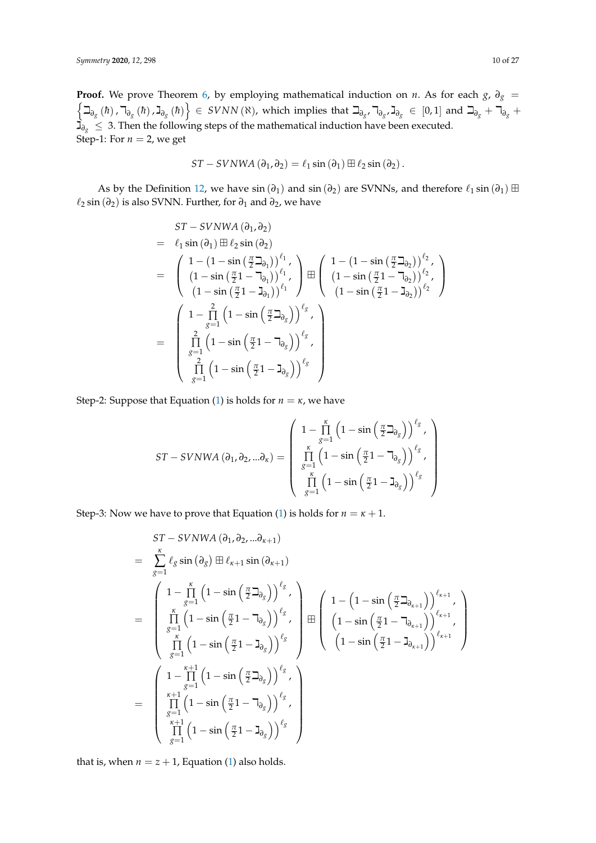**Proof.** We prove Theorem [6,](#page-8-1) by employing mathematical induction on *n*. As for each *g*,  $\partial_g$  =  $\left\{\beth_{\partial_{g}}\left(\hbar\right),\daleth_{\partial_{g}}\left(\hbar\right),\gimel_{\partial_{g}}\left(\hbar\right)\right\}\in \text{SVNN}\left(\aleph\right),\text{ which implies that }\beth_{\partial_{g}},\daleth_{\partial_{g}},\gimel_{\partial_{g}}\in\left[0,1\right] \text{ and }\beth_{\partial_{g}}+\daleth_{\partial_{g}}+\text{CVNN}\left(\aleph\right).$ <sup>ג</sup>*∂<sup>g</sup>* <sup>≤</sup> 3. Then the following steps of the mathematical induction have been executed. Step-1: For  $n = 2$ , we get

$$
ST-SVNWA (\partial_1, \partial_2) = \ell_1 \sin (\partial_1) \boxplus \ell_2 \sin (\partial_2).
$$

As by the Definition [12,](#page-5-0) we have  $sin(\partial_1)$  and  $sin(\partial_2)$  are SVNNs, and therefore  $\ell_1 sin(\partial_1) \boxplus$ `<sup>2</sup> sin (*∂*2) is also SVNN. Further, for *∂*<sup>1</sup> and *∂*2, we have

$$
ST-SVNWA (\partial_1, \partial_2)
$$
  
=  $\ell_1 \sin (\partial_1) \boxplus \ell_2 \sin (\partial_2)$   
=  $\left( \begin{array}{c} 1 - (1 - \sin(\frac{\pi}{2} \Delta_{\partial_1}))^{\ell_1}, \\ (1 - \sin(\frac{\pi}{2} 1 - \Delta_{\partial_1}))^{\ell_1}, \\ (1 - \sin(\frac{\pi}{2} 1 - \Delta_{\partial_1}))^{\ell_1} \end{array} \right) \boxplus \left( \begin{array}{c} 1 - (1 - \sin(\frac{\pi}{2} \Delta_{\partial_2}))^{\ell_2}, \\ (1 - \sin(\frac{\pi}{2} 1 - \Delta_{\partial_2}))^{\ell_2}, \\ (1 - \sin(\frac{\pi}{2} 1 - \Delta_{\partial_2}))^{\ell_2} \end{array} \right)$   
=  $\left( \begin{array}{c} 1 - \prod_{\delta=1}^{2} (1 - \sin(\frac{\pi}{2} \Delta_{\delta_{\delta}}))^{\ell_{\delta}} , \\ \prod_{\delta=1}^{2} (1 - \sin(\frac{\pi}{2} 1 - \Delta_{\partial_{\delta}}))^{\ell_{\delta}} , \\ \prod_{\delta=1}^{2} (1 - \sin(\frac{\pi}{2} 1 - \Delta_{\partial_{\delta}}))^{\ell_{\delta}} \end{array} \right)$ 

Step-2: Suppose that Equation [\(1\)](#page-8-2) is holds for  $n = \kappa$ , we have

$$
ST-SVNWA (\partial_1, \partial_2, ... \partial_\kappa) = \left( \begin{array}{c} 1 - \prod_{g=1}^{\kappa} \left( 1 - \sin\left(\frac{\pi}{2} \Delta_{\partial_g}\right) \right)^{\ell_g}, \\ \prod_{g=1}^{\kappa} \left( 1 - \sin\left(\frac{\pi}{2} 1 - \Delta_{\partial_g}\right) \right)^{\ell_g}, \\ \prod_{g=1}^{\kappa} \left( 1 - \sin\left(\frac{\pi}{2} 1 - \Delta_{\partial_g}\right) \right)^{\ell_g} \end{array} \right)
$$

Step-3: Now we have to prove that Equation [\(1\)](#page-8-2) is holds for  $n = \kappa + 1$ .

$$
ST-SVNWA (\partial_1, \partial_2, \ldots, \partial_{\kappa+1})
$$
\n
$$
= \sum_{g=1}^{k} \ell_g \sin (\partial_g) \boxplus \ell_{\kappa+1} \sin (\partial_{\kappa+1})
$$
\n
$$
= \begin{pmatrix}\n1 - \prod_{g=1}^{K} (1 - \sin(\frac{\pi}{2} \partial_g))^{e_g}, \\
\prod_{g=1}^{K} (1 - \sin(\frac{\pi}{2} \partial_g))^{e_g}, \\
\prod_{g=1}^{K} (1 - \sin(\frac{\pi}{2} \partial_g))^{e_g}\n\end{pmatrix} \boxplus \begin{pmatrix}\n1 - (1 - \sin(\frac{\pi}{2} \partial_{\alpha+1}))^{e_{\kappa+1}}, \\
(1 - \sin(\frac{\pi}{2} \partial_{\alpha+1}))^{e_{\kappa+1}}, \\
(1 - \sin(\frac{\pi}{2} \partial_{\alpha+1}))^{e_{\kappa+1}}\n\end{pmatrix}
$$
\n
$$
= \begin{pmatrix}\n1 - \prod_{g=1}^{K+1} (1 - \sin(\frac{\pi}{2} \partial_g))^{e_g}, \\
\prod_{g=1}^{K+1} (1 - \sin(\frac{\pi}{2} \partial_g))^{e_g}, \\
\prod_{g=1}^{K+1} (1 - \sin(\frac{\pi}{2} \partial_g))^{e_g}\n\end{pmatrix}
$$

that is, when  $n = z + 1$ , Equation [\(1\)](#page-8-2) also holds.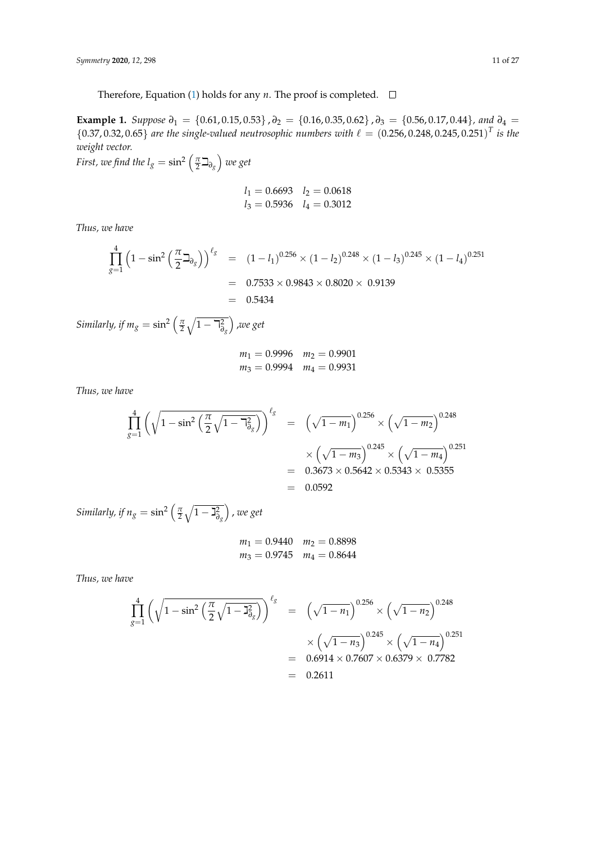Therefore, Equation [\(1\)](#page-8-2) holds for any  $n$ . The proof is completed.  $\Box$ 

**Example 1.** *Suppose*  $\partial_1 = \{0.61, 0.15, 0.53\}$ ,  $\partial_2 = \{0.16, 0.35, 0.62\}$ ,  $\partial_3 = \{0.56, 0.17, 0.44\}$ , and  $\partial_4 =$  ${0.37, 0.32, 0.65}$  are the single-valued neutrosophic numbers with  $\ell = {(0.256, 0.248, 0.245, 0.251)}^T$  is the *weight vector.*

First, we find the  $l_g = \sin^2\left(\frac{\pi}{2}\beth_{\partial_g}\right)$  we get

$$
l_1 = 0.6693
$$
  $l_2 = 0.0618$   
 $l_3 = 0.5936$   $l_4 = 0.3012$ 

*Thus, we have*

$$
\prod_{g=1}^{4} \left(1 - \sin^2\left(\frac{\pi}{2}\Delta_{\theta_g}\right)\right)^{\ell_g} = (1 - l_1)^{0.256} \times (1 - l_2)^{0.248} \times (1 - l_3)^{0.245} \times (1 - l_4)^{0.251}
$$

$$
= 0.7533 \times 0.9843 \times 0.8020 \times 0.9139
$$

$$
= 0.5434
$$

*Similarly, if*  $m_g = \sin^2\left(\frac{\pi}{2}\sqrt{1-\daleth_{\partial_g}^2}\right)$ ,*we get*

$$
m_1 = 0.9996 \quad m_2 = 0.9901
$$
  

$$
m_3 = 0.9994 \quad m_4 = 0.9931
$$

*Thus, we have*

$$
\prod_{g=1}^{4} \left( \sqrt{1 - \sin^2 \left( \frac{\pi}{2} \sqrt{1 - \frac{\pi^2}{\theta_g}} \right)} \right)^{\ell_g} = \left( \sqrt{1 - m_1} \right)^{0.256} \times \left( \sqrt{1 - m_2} \right)^{0.248} \times \left( \sqrt{1 - m_3} \right)^{0.245} \times \left( \sqrt{1 - m_4} \right)^{0.251} \n= 0.3673 \times 0.5642 \times 0.5343 \times 0.5355 \n= 0.0592
$$

*Similarly, if*  $n_g = \sin^2\left(\frac{\pi}{2}\sqrt{1-\beth_{\partial_g}^2}\right)$ , *we get*

$$
m_1 = 0.9440 \quad m_2 = 0.8898
$$
  

$$
m_3 = 0.9745 \quad m_4 = 0.8644
$$

*Thus, we have*

$$
\prod_{g=1}^{4} \left( \sqrt{1 - \sin^2 \left( \frac{\pi}{2} \sqrt{1 - \frac{12}{\sigma_g}} \right)} \right)^{\ell_g} = \left( \sqrt{1 - n_1} \right)^{0.256} \times \left( \sqrt{1 - n_2} \right)^{0.248} \times \left( \sqrt{1 - n_3} \right)^{0.245} \times \left( \sqrt{1 - n_4} \right)^{0.251} \n= 0.6914 \times 0.7607 \times 0.6379 \times 0.7782 \n= 0.2611
$$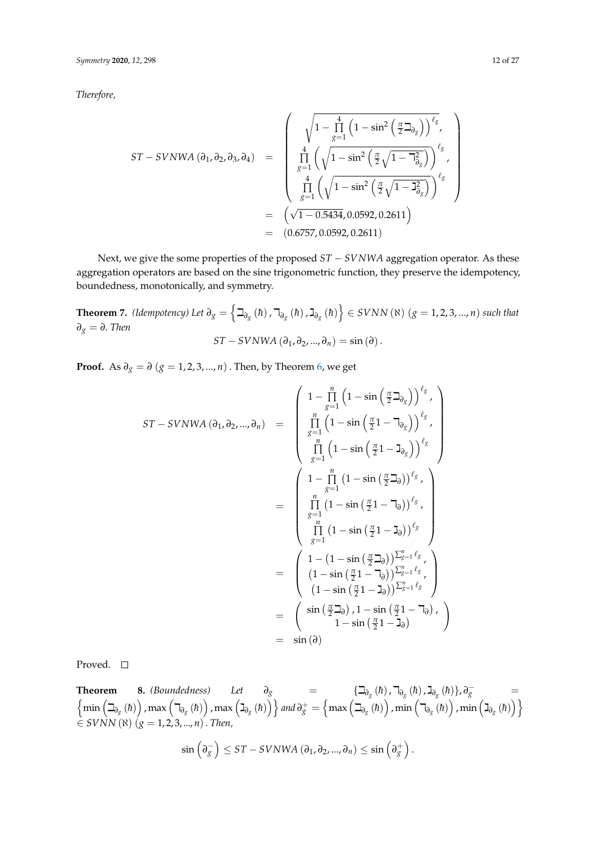*Therefore,*

$$
ST-SVNWA (\partial_1, \partial_2, \partial_3, \partial_4) = \begin{pmatrix} \sqrt{1-\prod_{g=1}^4 \left(1-\sin^2\left(\frac{\pi}{2}\Delta_{\partial_g}\right)\right)^{\ell_g}}, \\ \prod_{g=1}^4 \left(\sqrt{1-\sin^2\left(\frac{\pi}{2}\sqrt{1-\Delta_{\partial_g}^2}\right)}\right)^{\ell_g}, \\ \prod_{g=1}^4 \left(\sqrt{1-\sin^2\left(\frac{\pi}{2}\sqrt{1-\Delta_{\partial_g}^2}\right)}\right)^{\ell_g} \end{pmatrix}
$$
  
=  $\left(\sqrt{1-0.5434}, 0.0592, 0.2611\right)$   
=  $(0.6757, 0.0592, 0.2611)$ 

Next, we give the some properties of the proposed *ST* − *SVNWA* aggregation operator. As these aggregation operators are based on the sine trigonometric function, they preserve the idempotency, boundedness, monotonically, and symmetry.

<span id="page-11-1"></span>**Theorem 7.** (Idempotency) Let  $\partial_g = \left\{ \beth_{\partial_g}(\hbar)$  ,  $\daleth_{\partial_g}(\hbar)$  ,  $\daleth_{\partial_g}(\hbar) \right\} \in SVNN$  ( $\aleph$ )  $(g = 1, 2, 3, ..., n)$  such that *∂<sup>g</sup>* = *∂*. *Then*  $ST - SVNWA$  ( $\partial_1, \partial_2, ..., \partial_n$ ) = sin ( $\partial$ ).

**Proof.** As  $\partial_g = \partial (g = 1, 2, 3, ..., n)$ . Then, by Theorem [6,](#page-8-1) we get

$$
ST-SVNWA (\partial_1, \partial_2, ..., \partial_n) = \begin{pmatrix} 1 - \prod_{g=1}^n \left(1 - \sin\left(\frac{\pi}{2}\mathbf{1}_{\partial_g}\right)\right)^{\ell_g}, \\ \prod_{g=1}^n \left(1 - \sin\left(\frac{\pi}{2}1 - \mathbf{1}_{\partial_g}\right)\right)^{\ell_g}, \\ \prod_{g=1}^n \left(1 - \sin\left(\frac{\pi}{2}1 - \mathbf{1}_{\partial_g}\right)\right)^{\ell_g}, \\ \prod_{g=1}^n \left(1 - \sin\left(\frac{\pi}{2}\mathbf{1}_{\partial_g}\right)\right)^{\ell_g}, \\ \prod_{g=1}^n \left(1 - \sin\left(\frac{\pi}{2}1 - \mathbf{1}_{\partial_g}\right)\right)^{\ell_g}, \\ \prod_{g=1}^n \left(1 - \sin\left(\frac{\pi}{2}1 - \mathbf{1}_{\partial_g}\right)\right)^{\ell_g}, \\ \prod_{g=1}^n \left(1 - \sin\left(\frac{\pi}{2}1 - \mathbf{1}_{\partial_g}\right)\right)^{\ell_g}, \\ \left(1 - \left(1 - \sin\left(\frac{\pi}{2}\mathbf{1}_{\partial_g}\right)\right)^{\ell_g} - \left(1 - \left(1 - \sin\left(\frac{\pi}{2}1 - \mathbf{1}_{\partial_g}\right)\right)^{\ell_g}, \\ \left(1 - \sin\left(\frac{\pi}{2}1 - \mathbf{1}_{\partial_g}\right)\right)^{\ell_g} - \left(1 - \sin\left(\frac{\pi}{2}1 - \mathbf{1}_{\partial_g}\right)\right), \\ \left(1 - \sin\left(\frac{\pi}{2}\mathbf{1}_{\partial_g}\right), 1 - \sin\left(\frac{\pi}{2}1 - \mathbf{1}_{\partial_g}\right), \\ 1 - \sin\left(\frac{\pi}{2}1 - \mathbf{1}_{\partial_g}\right) \right) = \sin(\partial)
$$

Proved. □

<span id="page-11-0"></span>**Theorem 8.** (Boundedness) Let  $\partial_g$  = { $\Box_{\partial_g}$  (*h*),  $\Box_{\partial_g}$  (*h*)},  $\partial_g^-$  =  $\left\{\min\left(\beth_{\partial_{\bar{S}}}\left(\hbar\right)\right)$  ,  $\max\left(\daleth_{\partial_{\bar{S}}}\left(\hbar\right)\right)$  ,  $\max\left(\gimel_{\partial_{\bar{S}}}\left(\hbar\right)\right)\right\}$  and  $\partial_{\bar{S}}^+=\left\{\max\left(\beth_{\partial_{\bar{S}}}\left(\hbar\right)\right)$  ,  $\min\left(\daleth_{\partial_{\bar{S}}}\left(\hbar\right)\right)$  ,  $\min\left(\gimel_{\partial_{\bar{S}}}\left(\hbar\right)\right)\right\}$ ∈ *SVNN* (ℵ) (*g* = 1, 2, 3, ..., *n*). *Then,*

$$
\sin\left(\partial_{g}^{-}\right) \leq ST-SVNWA\left(\partial_{1},\partial_{2},...,\partial_{n}\right) \leq \sin\left(\partial_{g}^{+}\right).
$$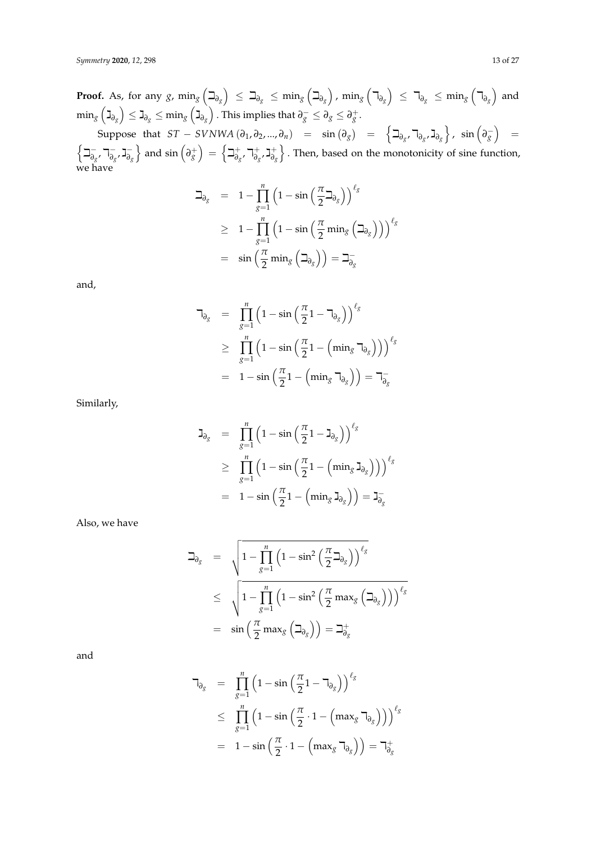$\textbf{Proof. As, for any } g \text{, } \min_g \left( \beth_{\partial_g} \right) \ \leq \ \beth_{\partial_g} \ \leq \ \min_g \left( \beth_{\partial_g} \right) \text{, } \min_g \left( \daleth_{\partial_g} \right) \ \leq \ \daleth_{\partial_g} \ \leq \ \min_g \left( \daleth_{\partial_g} \right) \ \text{and}$  $\min_g\left(\gimel_{\partial_g}\right)\leq\gimel_{\partial_g}\leq\min_g\left(\gimel_{\partial_g}\right)$  . This implies that  $\partial_g^-\leq\partial_g\leq\partial_g^+$  .

 $\sup \left\{ \mathbf{C} \right\} = \sup \left\{ \mathbf{D}_{g} \mathbf{C} \right\} = \sup \left\{ \mathbf{D}_{g} \mathbf{C} \right\} = \sup \left\{ \mathbf{D}_{g} \mathbf{C} \right\} = \sup \left\{ \mathbf{D}_{g} \mathbf{C} \right\} = \sup \left\{ \mathbf{D}_{g} \mathbf{C} \right\} = \sup \left\{ \mathbf{D}_{g} \mathbf{C} \right\} = \sup \left\{ \mathbf{D}_{g} \mathbf{C} \right\} = \sup \left\{ \mathbf{D}_{g} \mathbf{C} \right\} = \sup \$ ∫⊐-−<br>∂*g*<sup>,</sup> 7<sub>∂</sub>*g* −<br>∂*g*′ J<sub>∂</sub> *∂g*  $\Big\}$  and sin  $\left(\partial_g^+\right) = \Big\{\beth_{\partial_g}^+$ +<br>∂*g*</sub> 7<sup>+</sup> *∂g* ג , + *∂g* o . Then, based on the monotonicity of sine function, we have

$$
\begin{array}{lcl} \beth_{\partial_{g}} & = & 1 - \displaystyle\prod\limits_{g=1}^{n}\left(1-\sin\left(\frac{\pi}{2}\beth_{\partial_{g}}\right)\right)^{\ell_{g}} \\ \\ & \geq & 1 - \displaystyle\prod\limits_{g=1}^{n}\left(1-\sin\left(\frac{\pi}{2}\min_{g}\left(\beth_{\partial_{g}}\right)\right)\right)^{\ell_{g}} \\ \\ & = & \displaystyle\sin\left(\frac{\pi}{2}\min_{g}\left(\beth_{\partial_{g}}\right)\right) = \beth_{\partial_{g}}^{-} \end{array}
$$

and,

$$
\begin{array}{rcl}\n\mathbf{a}_{\delta_{g}} & = & \displaystyle\prod_{g=1}^{n} \left(1 - \sin\left(\frac{\pi}{2}1 - \mathbf{a}_{\delta_{g}}\right)\right)^{\ell_{g}} \\
& \geq & \displaystyle\prod_{g=1}^{n} \left(1 - \sin\left(\frac{\pi}{2}1 - \left(\min_{g} \mathbf{a}_{\delta_{g}}\right)\right)\right)^{\ell_{g}} \\
& = & 1 - \sin\left(\frac{\pi}{2}1 - \left(\min_{g} \mathbf{a}_{\delta_{g}}\right)\right) = \mathbf{a}_{\delta_{g}}\n\end{array}
$$

Similarly,

$$
\begin{array}{lcl} \mathbf{J}_{\partial_{g}} & = & \displaystyle \prod\limits_{g=1}^{n}\left(1-\sin\left(\frac{\pi}{2}\mathbf{1}-\mathbf{J}_{\partial_{g}}\right)\right)^{\ell_{g}} \\ \\ & \geq & \displaystyle \prod\limits_{g=1}^{n}\left(1-\sin\left(\frac{\pi}{2}\mathbf{1}-\left(\min_{g}\mathbf{J}_{\partial_{g}}\right)\right)\right)^{\ell_{g}} \\ \\ & = & 1-\sin\left(\frac{\pi}{2}\mathbf{1}-\left(\min_{g}\mathbf{J}_{\partial_{g}}\right)\right)=\mathbf{J}_{\partial_{g}}^{-} \end{array}
$$

Also, we have

$$
\begin{array}{lcl} \beth_{\partial_{g}} & = & \sqrt{1-\prod\limits_{g=1}^{n}\left(1-\sin^{2}\left(\frac{\pi}{2}\beth_{\partial_{g}}\right)\right)^{\ell_{g}}} \\ \\ & \leq & \sqrt{1-\prod\limits_{g=1}^{n}\left(1-\sin^{2}\left(\frac{\pi}{2}\max_{g}\left(\beth_{\partial_{g}}\right)\right)\right)^{\ell_{g}}} \\ \\ & = & \sin\left(\frac{\pi}{2}\max_{g}\left(\beth_{\partial_{g}}\right)\right) = \beth_{\partial_{g}}^{+} \end{array}
$$

and

$$
\begin{array}{rcl}\n\mathbf{T}_{\partial_{g}} & = & \displaystyle\prod_{g=1}^{n} \left(1 - \sin\left(\frac{\pi}{2}1 - \mathbf{T}_{\partial_{g}}\right)\right)^{\ell_{g}} \\
& \leq & \displaystyle\prod_{g=1}^{n} \left(1 - \sin\left(\frac{\pi}{2} \cdot 1 - \left(\max_{g} \mathbf{T}_{\partial_{g}}\right)\right)\right)^{\ell_{g}} \\
& = & 1 - \sin\left(\frac{\pi}{2} \cdot 1 - \left(\max_{g} \mathbf{T}_{\partial_{g}}\right)\right) = \mathbf{T}_{\partial_{g}}^{+}\n\end{array}
$$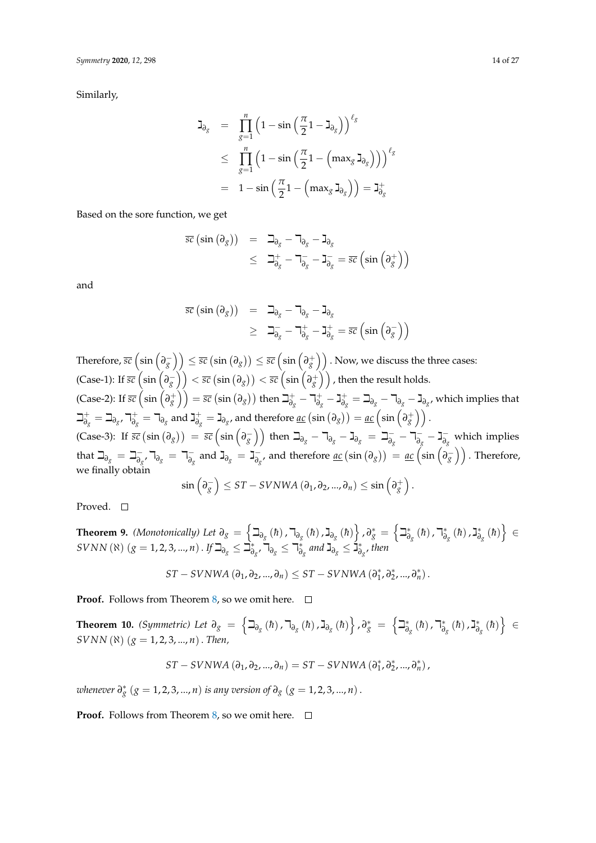Similarly,

$$
\begin{array}{lcl} \mathbf{J}_{\partial_{g}} & = & \displaystyle \prod\limits_{g=1}^{n}\left(1-\sin\left(\frac{\pi}{2}\mathbb{1}-\mathbb{J}_{\partial_{g}}\right)\right)^{\ell_{g}} \\ \\ & \leq & \displaystyle \prod\limits_{g=1}^{n}\left(1-\sin\left(\frac{\pi}{2}\mathbb{1}-\left(\max_{g}\mathbb{J}_{\partial_{g}}\right)\right)\right)^{\ell_{g}} \\ \\ & = & 1-\sin\left(\frac{\pi}{2}\mathbb{1}-\left(\max_{g}\mathbb{J}_{\partial_{g}}\right)\right) = \mathbb{J}_{\partial_{g}}^{+} \end{array}
$$

Based on the sore function, we get

$$
\overline{sc} (\sin (\partial_g)) = \Box_{\partial_g} - \Box_{\partial_g} - \Box_{\partial_g}
$$
  
\n
$$
\leq \Box_{\partial_g}^+ - \Box_{\partial_g}^- - \Box_{\partial_g}^- = \overline{sc} (\sin (\partial_g^+))
$$

and

$$
\begin{array}{rcl}\n\overline{s}\overline{c}(\sin{(\partial_g)}) &=& \beth_{\partial_g} - \beth_{\partial_g} - \beth_{\partial_g} \\
& & \geq & \beth_{\partial_g}^- - \beth_{\partial_g}^+ - \beth_{\partial_g}^+ = \overline{s}\overline{c}(\sin{(\partial_g^-)})\n\end{array}
$$

 $\text{Therefore, } \overline{sc}\left(\sin\left(\overline{\partial_{g}^{-}}\right)\right)\leq \overline{sc}\left(\sin\left(\overline{\partial_{g}^{+}}\right)\right)\leq \overline{sc}\left(\sin\left(\overline{\partial_{g}^{+}}\right)\right).$  Now, we discuss the three cases:  $p(\text{Case-1}): \text{If } \overline{sc}\left(\sin\left(\overline{\partial_{g}^{-}}\right)\right)<\overline{sc}\left(\sin\left(\overline{\partial_{g}^{+}}\right)\right)<\overline{sc}\left(\sin\left(\overline{\partial_{g}^{+}}\right)\right)$  , then the result holds.  $p(\text{Case-2}): \text{If } \overline{sc}\left(\sin\left(\overline{\partial}^+_{g}\right)\right) = \overline{sc}\left(\sin\left(\overline{\partial}_{g}\right)\right) \text{ then } \beth^\text{+}_{\partial_{g}}$  $\frac{1}{\partial g} - \Box_{\partial g}^+$ *∂g* ג − + *∂g* <sup>=</sup> <sup>i</sup>*∂<sup>g</sup>* <sup>−</sup> <sup>k</sup>*∂<sup>g</sup>* <sup>−</sup> <sup>ג</sup>*∂<sup>g</sup>* , which implies that  $\beth^+_1$  $\vec{\theta}_g^+ = \beth_{\partial_g}$ ,  $\daleth_{\partial_g}^+$  $\overrightarrow{\partial}_{g}$  =  $\overrightarrow{\mathsf{d}}_{\partial_{g}}$  and  $\overrightarrow{\mathsf{d}}_{\partial_{g}^{+}}$  $\mathcal{F}^+_{\partial_g} = \mathsf{J}_{\partial_g}$ , and therefore <u> $ac  $(\sin{(\partial_g)}) = \underline{ac}\left(\sin{\left(\partial_g^+\right)}\right)$  .</u>$  $p^2$  (Case-3): If  $\overline{sc}$   $(\sin(\partial_g))$  =  $\overline{sc}$   $\left(\sin(\partial_g^{-})\right)$  then  $\beth_{\partial_g} - \beth_{\partial_g} - \beth_{\partial_g} = \beth_{\partial_g}^{-1}$ *∂*<sub>*g*</sub> – 7<sub>∂</sub>*g*  $\frac{1}{\partial g}$  − **J**<sub> $\frac{1}{\partial g}$ </sub> *∂g* which implies that  $\Box_{\partial_g} = \Box_{\partial_g}^-$ *∂g* ,k*∂<sup>g</sup>* <sup>=</sup> <sup>k</sup> −  $\overline{\partial}_g$  and  $\overline{\mathsf{J}}_{\partial_g} = \overline{\mathsf{J}}_{\overline{\partial}_g}^ \frac{1}{\partial g},$  and therefore <u>ac</u>  $(\sin(\partial_g)) = \underline{ac}\left(\sin\left(\partial_g^-\right)\right)$  . Therefore, we finally obtain −  $\setminus$ +  $\setminus$ 

$$
\sin\left(\partial_{g}^{-}\right)\leq ST-SVNWA\left(\partial_{1},\partial_{2},...,\partial_{n}\right)\leq\sin\left(\partial_{g}^{+}\right).
$$

Proved. □

 $\bf{Theorem~9.}$  *(Monotonically) Let*  $\partial_g = \left\{ \beth_{\partial_g}\left( \hbar \right), \daleth_{\partial_g}\left( \hbar \right), \gimel_{\partial_g}\left( \hbar \right) \right\}, \partial_g^* = \left\{ \beth_{\partial_g}^* \right\}$ <sub>∂g</sub> (*h*), ¬<sub>ð</sub> *∂g* ג ,(̄*h*( ∗  $\left\{ \check{\tilde{\sigma}}_{g}\left(\hbar\right)\right\} \in$  $SVNN$  ( $\aleph$ )  $(g = 1, 2, 3, ..., n)$  . If  $\beth_{\partial_g} \leq \grave{\beth}^*_\partial$  $\check{\bar{\theta}}_g$ , ົາ $\bar{\theta}_g \leq \bar{\theta}^*_g$  $\frac{1}{\partial_{g}}$  and  $\gimel$ <sub> $\gimel$  $\zeta$   $\leq$   $\frac{1}{\partial_{g}}$ </sub> *∂g* , *then*

$$
ST-SVNWA\left(\partial_{1},\partial_{2},...,\partial_{n}\right)\leq ST-SVNWA\left(\partial_{1}^{*},\partial_{2}^{*},...,\partial_{n}^{*}\right).
$$

**Proof.** Follows from Theorem [8,](#page-11-0) so we omit here.  $\Box$ 

<span id="page-13-0"></span> $\bf{Theorem \ 10.}$  *(Symmetric) Let*  $\partial_g \; = \; \left\{ \beth_{\partial_g} \left( \hbar \right), \daleth_{\partial_g} \left( \hbar \right), \gimel_{\partial_g} \left( \hbar \right) \right\}, \partial_g^* \; = \; \left\{ \beth_{\partial_g}^* \right\}$ <sub>∂g</sub> (*h*), ¬\*∂ *∂g* ג ,(̄*h*( ∗  $\left\{ \check{\tilde{\sigma}}_{g}\left(\hbar\right)\right\} \;\in\;$  $SVNN(N)$  ( $g = 1, 2, 3, ..., n$ ). *Then,* 

$$
ST-SVNWA\left(\partial_{1},\partial_{2},...,\partial_{n}\right)=ST-SVNWA\left(\partial_{1}^{*},\partial_{2}^{*},...,\partial_{n}^{*}\right),
$$

*whenever*  $\partial_{g}^{*}$  ( $g = 1, 2, 3, ..., n$ ) *is any version of*  $\partial_{g}$  ( $g = 1, 2, 3, ..., n$ ).

**Proof.** Follows from Theorem [8,](#page-11-0) so we omit here.  $\Box$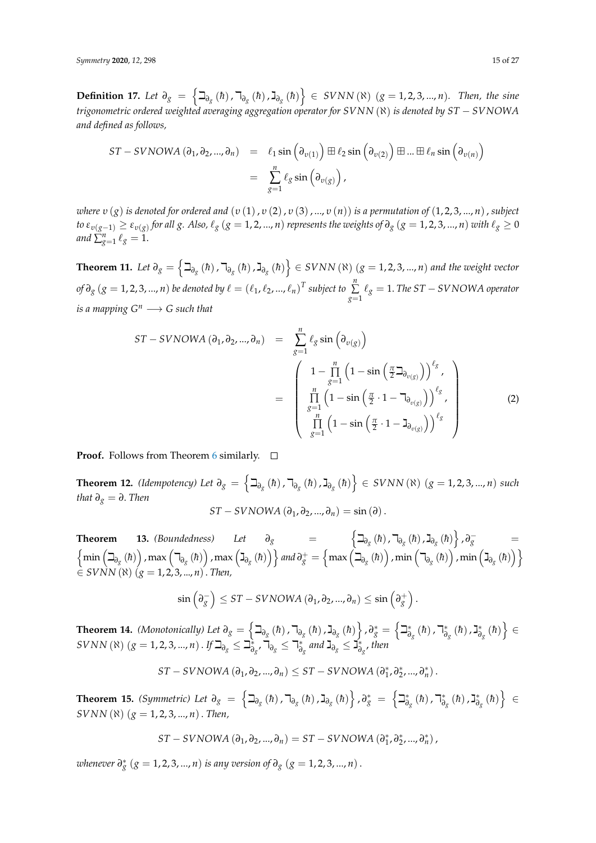**Definition 17.** Let  $\partial_g = \left\{ \exists_{\partial_g} (\hbar)$ ,  $\exists_{\partial_g} (\hbar)$ ,  $\exists_{\partial_g} (\hbar) \right\}$  ∈ SVNN( $\aleph$ ) (*g* = 1, 2, 3, ..., *n*)*.* Then, the sine *trigonometric ordered weighted averaging aggregation operator for SVNN* (ℵ) *is denoted by ST* − *SVNOWA and defined as follows,*

$$
ST-SVNOWA (\partial_1, \partial_2, ..., \partial_n) = \ell_1 \sin (\partial_{\nu(1)}) \boxplus \ell_2 \sin (\partial_{\nu(2)}) \boxplus ... \boxplus \ell_n \sin (\partial_{\nu(n)})
$$
  
= 
$$
\sum_{g=1}^n \ell_g \sin (\partial_{\nu(g)}) ,
$$

*where υ* (*g*) *is denoted for ordered and* (*υ* (1), *υ* (2), *υ* (3), ..., *υ* (*n*)) *is a permutation of* (1, 2, 3, ..., *n*), *subject* to  $\varepsilon_{v(g-1)}\geq\varepsilon_{v(g)}$  for all  $g.$  Also,  $\ell_g$   $(g=1,2,...,n)$  represents the weights of  $\partial_g$   $(g=1,2,3,...,n)$  with  $\ell_g\geq0$ *and*  $\sum_{g=1}^n \ell_g = 1$ .

**Theorem 11.** Let  $\partial_g = \left\{ \beth_{\partial_g}(\hbar)$  ,  $\daleth_{\partial_g}(\hbar)$  ,  $\gimel_{\partial_g}(\hbar) \right\} \in SVNN$  ( $\aleph$ )  $(g = 1, 2, 3, ..., n)$  and the weight vector  $f(x) = \left(\ell_1, \ell_2, ..., \ell_n\right)^T$  subject to  $\sum_{i=1}^n \ell_i$  $\sum\limits_{g=1}^{\infty}\ell_{g} = 1.$  *The ST − SVNOWA operator is a mapping*  $G^n \longrightarrow G$  *such that* 

$$
ST-SVNOWA (\partial_1, \partial_2, ..., \partial_n) = \sum_{g=1}^n \ell_g \sin (\partial_{v(g)})
$$
  

$$
= \begin{pmatrix} 1 - \prod_{g=1}^n (1 - \sin (\frac{\pi}{2} \partial_{v(g)}))^{\ell_g}, \\ \prod_{g=1}^n (1 - \sin (\frac{\pi}{2} \cdot 1 - \partial_{v(g)}))^{\ell_g}, \\ \prod_{g=1}^n (1 - \sin (\frac{\pi}{2} \cdot 1 - \partial_{v(g)}))^{\ell_g} \end{pmatrix}
$$
(2)

**Proof.** Follows from Theorem [6](#page-8-1) similarly.  $\Box$ 

 $\mathbf{T}$ **heorem 12.** (Idempotency) Let  $\partial_g = \left\{ \beth_{\partial_g}(\hbar)$  ,  $\daleth_{\partial_g}(\hbar)$  ,  $\gimel_{\partial_g}(\hbar) \right\} \in \text{SVNN}(\aleph)$   $(g = 1, 2, 3, ..., n)$  such *that*  $\partial_g = \partial$ . *Then* 

$$
ST-SVNOWA(\partial_1, \partial_2, ..., \partial_n) = \sin(\partial).
$$

**Theorem 13.** (Boundedness) Let  $\partial_g$  =  $\left\{\exists_{\partial_g}(\hbar), \exists_{\partial_g}(\hbar), \exists_{\partial_g}(\hbar)\right\}, \partial_g^-$  =  $\left\{\min\left(\beth_{\partial_{_X}}\left(\hbar\right)\right),\max\left(\daleth_{\partial_{_X}}\left(\hbar\right)\right),\max\left(\gimel_{\partial_{_X}}\left(\hbar\right)\right)\right\}$  and  $\partial_{_X}^+=\left\{\max\left(\beth_{\partial_{_X}}\left(\hbar\right)\right),\min\left(\daleth_{\partial_{_X}}\left(\hbar\right)\right),\min\left(\gimel_{\partial_{_X}}\left(\hbar\right)\right)\right\}$  $\vec{f}$  ≤ *SVNN* ( $\vec{x}$ ) ( $\vec{g}$  = 1, 2, 3, ..., *n*). *Then*,

$$
\sin\left(\partial_{g}^{-}\right)\leq ST-SVNOWA\left(\partial_{1},\partial_{2},...,\partial_{n}\right)\leq \sin\left(\partial_{g}^{+}\right).
$$

 $\bf{Theorem~14.}$  *(Monotonically) Let*  $\partial_g = \left\{ \beth_{\partial_g}\left( \hbar \right), \daleth_{\partial_g}\left( \hbar \right), \gimel_{\partial_g}\left( \hbar \right) \right\}, \partial_g^* = \left\{ \beth_{\partial_g}^* \right\}$ <sub>∂g</sub> (*h*), ¬<sub>ð</sub> *∂g* ג ,(̄*h*( ∗  $\left\{ \begin{matrix} \ast \ \mathfrak{d}_g \end{matrix} \right. \left( \hbar \right) \Big\} \in$  $SVNN$  ( $\aleph$ )  $(g = 1, 2, 3, ..., n)$  . If  $\beth_{\partial_g} \leq \beth_{\partial}^*$ *∂g* ,k*∂<sup>g</sup>* <sup>≤</sup> <sup>k</sup> ∗  $\frac{1}{\partial_{g}}$  and  $\gimel$ <sub> $\gimel$  $\gimel$  $\leq$   $\breve{\mathbf{J}}_{\partial}^{*}$ </sub> *∂g* , *then*

$$
ST-SVNOWA\left(\partial_{1},\partial_{2},...,\partial_{n}\right)\leq ST-SVNOWA\left(\partial_{1}^{*},\partial_{2}^{*},...,\partial_{n}^{*}\right).
$$

 $\bf{Theorem \ 15.}$  *(Symmetric) Let*  $\partial_g \; = \; \left\{ \beth_{\partial_g} \left( \hbar \right), \daleth_{\partial_g} \left( \hbar \right), \gimel_{\partial_g} \left( \hbar \right) \right\}, \partial_g^* \; = \; \left\{ \beth_{\partial_g}^* \right\}$ <sub>∂g</sub> (*h*), ¬<sub>∂</sub> *∂g* ג ,(̄*h*( ∗  $\left\{ \check{\tilde{\sigma}}_{g}\left(\hbar\right)\right\} \;\in\;$ *SVNN*  $(\aleph)$   $(g = 1, 2, 3, ..., n)$ . *Then,* 

$$
ST-SVNOWA\left(\partial_{1},\partial_{2},...,\partial_{n}\right)=ST-SVNOWA\left(\partial_{1}^{*},\partial_{2}^{*},...,\partial_{n}^{*}\right),
$$

*whenever*  $\partial_{g}^{*}$  ( $g = 1, 2, 3, ..., n$ ) *is any version of*  $\partial_{g}$  ( $g = 1, 2, 3, ..., n$ ).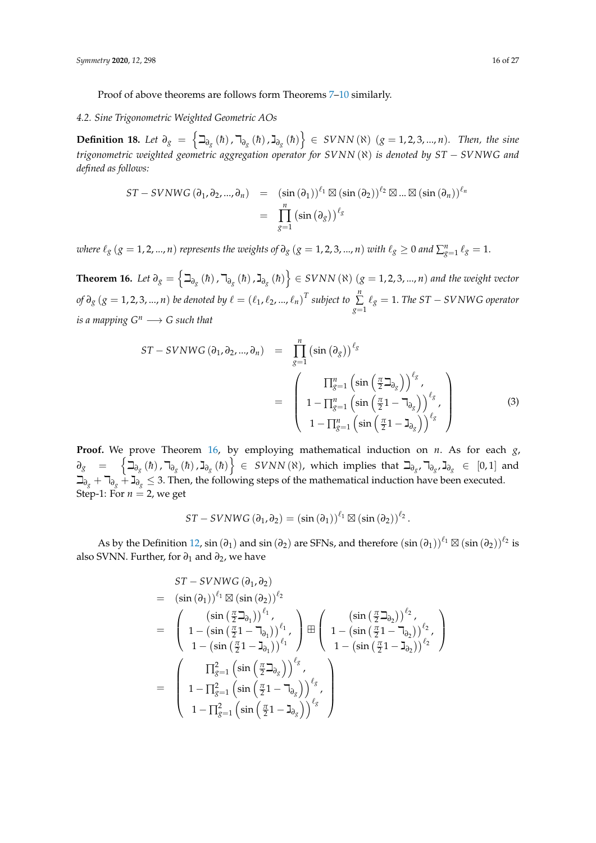Proof of above theorems are follows form Theorems [7–](#page-11-1)[10](#page-13-0) similarly.

#### *4.2. Sine Trigonometric Weighted Geometric AOs*

**Definition 18.** Let  $\partial_g = \left\{ \exists_{\partial_g} (\hbar)$ ,  $\exists_{\partial_g} (\hbar)$ ,  $\exists_{\partial_g} (\hbar) \right\}$  ∈ *SVNN* (R) (*g* = 1, 2, 3, ..., *n*)*.* Then, the sine *trigonometric weighted geometric aggregation operator for SVNN* (ℵ) *is denoted by ST* − *SVNWG and defined as follows:*

$$
ST-SVNWG (\partial_1, \partial_2, ..., \partial_n) = (\sin (\partial_1))^{\ell_1} \boxtimes (\sin (\partial_2))^{\ell_2} \boxtimes ... \boxtimes (\sin (\partial_n))^{\ell_n}
$$
  
= 
$$
\prod_{g=1}^n (\sin (\partial_g))^{\ell_g}
$$

*where*  $\ell_g$  ( $g = 1, 2, ..., n$ ) *represents the weights of*  $\partial_g$  ( $g = 1, 2, 3, ..., n$ ) *with*  $\ell_g \ge 0$  and  $\sum_{g=1}^n \ell_g = 1$ .

<span id="page-15-0"></span>**Theorem 16.** Let  $\partial_g = \left\{ \beth_{\partial_g}(\hbar)$  ,  $\daleth_{\partial_g}(\hbar)$  ,  $\gimel_{\partial_g}(\hbar) \right\} \in SVNN$  ( $\aleph$ ) ( $g = 1, 2, 3, ..., n$ ) and the weight vector *of*  $\partial_g$  ( $g = 1, 2, 3, ..., n$ ) *be denoted by*  $\ell = (\ell_1, \ell_2, ..., \ell_n)^T$  subject to  $\sum_{n=1}^n$  $\sum\limits_{g=1}$   $\ell_{g}$  = 1. *The ST − SVNWG operator is a mapping*  $G^n \longrightarrow G$  *such that* 

<span id="page-15-1"></span>
$$
ST-SVNWG(\partial_1, \partial_2, ..., \partial_n) = \prod_{g=1}^n (\sin(\partial_g))^{\ell_g}
$$
  
= 
$$
\begin{pmatrix} \Pi_{g=1}^n (\sin(\frac{\pi}{2}\Delta_{\partial_g}))^{\ell_g}, \\ 1 - \Pi_{g=1}^n (\sin(\frac{\pi}{2}1 - \Delta_{\partial_g}))^{\ell_g}, \\ 1 - \Pi_{g=1}^n (\sin(\frac{\pi}{2}1 - \Delta_{\partial_g}))^{\ell_g} \end{pmatrix}
$$
(3)

**Proof.** We prove Theorem [16,](#page-15-0) by employing mathematical induction on *n*. As for each *g*,  $\partial_g$  =  $\left\{ \beth_{\partial_g}\left( \hbar\right),\daleth_{\partial_g}\left( \hbar\right),\gimel_{\partial_g}\left( \hbar\right)\right\} \in \text{ SVNN}\left(\aleph\right)$ , which implies that  $\beth_{\partial_g},\daleth_{\partial_g},\gimel_{\partial_g}\in \text{ [0,1]}$  and <sup>i</sup>*∂<sup>g</sup>* <sup>+</sup> <sup>k</sup>*∂<sup>g</sup>* <sup>+</sup> <sup>ג</sup>*∂<sup>g</sup>* <sup>≤</sup> 3. Then, the following steps of the mathematical induction have been executed. Step-1: For  $n = 2$ , we get

$$
ST-SVNWG\left(\partial_{1},\partial_{2}\right)=\left(\sin\left(\partial_{1}\right)\right)^{\ell_{1}}\boxtimes\left(\sin\left(\partial_{2}\right)\right)^{\ell_{2}}.
$$

As by the Definition [12,](#page-5-0)  $sin(\partial_1)$  and  $sin(\partial_2)$  are SFNs, and therefore  $(sin(\partial_1))^{\ell_1} \boxtimes (sin(\partial_2))^{\ell_2}$  is also SVNN. Further, for *∂*<sup>1</sup> and *∂*2, we have

$$
ST-SVNWG (\partial_1, \partial_2)
$$
\n
$$
= (\sin(\partial_1))^{\ell_1} \boxtimes (\sin(\partial_2))^{\ell_2}
$$
\n
$$
= \begin{pmatrix} (\sin(\frac{\pi}{2}\mathbf{1}_{\partial_1}))^{\ell_1}, \\ 1 - (\sin(\frac{\pi}{2}\mathbf{1} - \mathbf{1}_{\partial_1}))^{\ell_1}, \\ 1 - (\sin(\frac{\pi}{2}\mathbf{1} - \mathbf{1}_{\partial_1}))^{\ell_1} \end{pmatrix} \boxplus \begin{pmatrix} (\sin(\frac{\pi}{2}\mathbf{1}_{\partial_2}))^{\ell_2}, \\ 1 - (\sin(\frac{\pi}{2}\mathbf{1} - \mathbf{1}_{\partial_2}))^{\ell_2}, \\ 1 - (\sin(\frac{\pi}{2}\mathbf{1} - \mathbf{1}_{\partial_2}))^{\ell_2} \end{pmatrix}
$$
\n
$$
= \begin{pmatrix} \Pi_{S=1}^2 (\sin(\frac{\pi}{2}\mathbf{1}_{\partial_S}))^{\ell_S}, \\ 1 - \Pi_{S=1}^2 (\sin(\frac{\pi}{2}\mathbf{1} - \mathbf{1}_{\partial_S}))^{\ell_S}, \\ 1 - \Pi_{S=1}^2 (\sin(\frac{\pi}{2}\mathbf{1} - \mathbf{1}_{\partial_S}))^{\ell_S} \end{pmatrix}
$$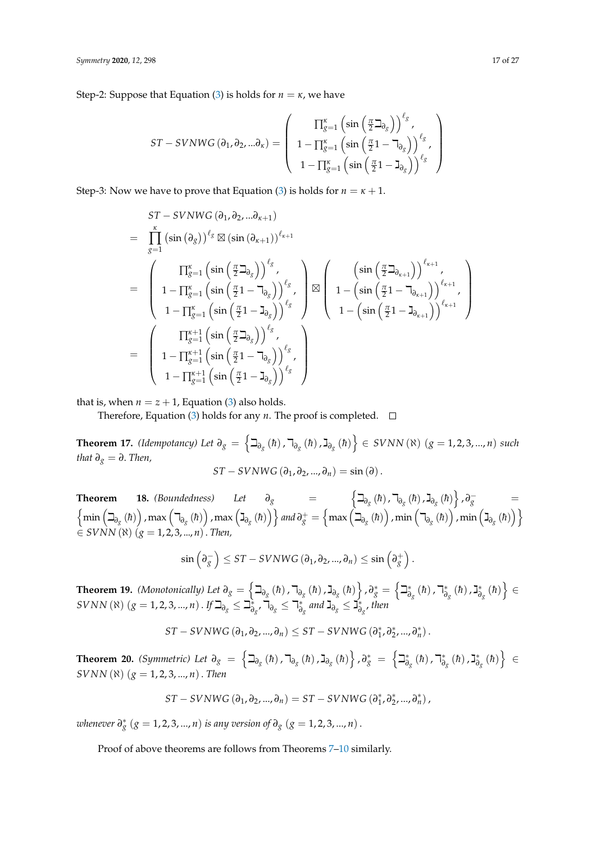Step-2: Suppose that Equation [\(3\)](#page-15-1) is holds for  $n = \kappa$ , we have

$$
ST-SVNWG\left(\partial_{1},\partial_{2},...\partial_{\kappa}\right)=\left(\begin{array}{c} \prod_{g=1}^{\kappa}\left(\sin\left(\frac{\pi}{2}\beth_{\partial_{g}}\right)\right)^{\ell_{g}}, \\ 1-\prod_{g=1}^{\kappa}\left(\sin\left(\frac{\pi}{2}1-\daleth_{\partial_{g}}\right)\right)^{\ell_{g}}, \\ 1-\prod_{g=1}^{\kappa}\left(\sin\left(\frac{\pi}{2}1-\gimel_{\partial_{g}}\right)\right)^{\ell_{g}}\end{array}\right)
$$

Step-3: Now we have to prove that Equation [\(3\)](#page-15-1) is holds for  $n = \kappa + 1$ .

$$
ST-SVNWG (\partial_1, \partial_2, \dots \partial_{\kappa+1})
$$
\n
$$
= \prod_{g=1}^{\kappa} (\sin (\partial_g))^{\ell_g} \boxtimes (\sin (\partial_{\kappa+1}))^{\ell_{\kappa+1}}
$$
\n
$$
= \left(\begin{array}{c} \prod_{g=1}^{\kappa} (\sin (\frac{\pi}{2} \beth_{\partial_g}))^{\ell_g}, \\ 1-\prod_{g=1}^{\kappa} (\sin (\frac{\pi}{2} 1-\daleth_{\partial_g}))^{\ell_g}, \\ 1-\prod_{g=1}^{\kappa} (\sin (\frac{\pi}{2} 1-\daleth_{\partial_g}))^{\ell_g} \end{array}\right) \boxtimes \left(\begin{array}{c} \left(\sin (\frac{\pi}{2} \beth_{\partial_{\kappa+1}})\right)^{\ell_{\kappa+1}}, \\ 1-\left(\sin (\frac{\pi}{2} 1-\daleth_{\partial_{\kappa+1}})\right)^{\ell_{\kappa+1}}, \\ 1-\left(\sin (\frac{\pi}{2} 1-\daleth_{\partial_{\kappa+1}})\right)^{\ell_{\kappa+1}} \end{array}\right)
$$
\n
$$
= \left(\begin{array}{c} \prod_{g=1}^{\kappa+1} (\sin (\frac{\pi}{2} \beth_{\partial_g}))^{\ell_g}, \\ 1-\prod_{g=1}^{\kappa+1} (\sin (\frac{\pi}{2} 1-\daleth_{\partial_g}))^{\ell_g}, \\ 1-\prod_{g=1}^{\kappa+1} (\sin (\frac{\pi}{2} 1-\daleth_{\partial_g}))^{\ell_g} \end{array}\right)
$$

that is, when  $n = z + 1$ , Equation [\(3\)](#page-15-1) also holds.

Therefore, Equation [\(3\)](#page-15-1) holds for any *n*. The proof is completed.  $\Box$ 

**Theorem 17.** *(Idempotancy) Let*  $\partial_g = \left\{ \beth_{\partial_g}(\hbar) \square_{\partial_g}(\hbar) \square_{\partial_g}(\hbar) \right\}$  ∈ *SVNN* (ℕ) (*g* = 1, 2, 3, ..., *n*) *such that*  $\partial_g = \partial$ . *Then*,  $ST - SVNWG(\partial_1, \partial_2, ..., \partial_n) = \sin(\partial).$ 

**Theorem 18.** (Boundedness) Let  $\partial_g$  =  $\left\{\exists_{\partial_g} (h), \exists_{\partial_g} (h), \exists_{\partial_g} (h)\right\}, \partial_g^-$  =  $\left\{\min\left(\beth_{\partial_{\bar{S}}}\left(\hbar\right)\right)$  ,  $\max\left(\daleth_{\partial_{\bar{S}}}\left(\hbar\right)\right)$  ,  $\max\left(\gimel_{\partial_{\bar{S}}}\left(\hbar\right)\right)\right\}$  and  $\partial_{\bar{S}}^+=\left\{\max\left(\beth_{\partial_{\bar{S}}}\left(\hbar\right)\right)$  ,  $\min\left(\daleth_{\partial_{\bar{S}}}\left(\hbar\right)\right)$  ,  $\min\left(\gimel_{\partial_{\bar{S}}}\left(\hbar\right)\right)\right\}$ ∈ *SVNN* (ℵ) (*g* = 1, 2, 3, ..., *n*). *Then,*

$$
\sin\left(\partial_{g}^{-}\right) \leq ST-SVNWG\left(\partial_{1},\partial_{2},...,\partial_{n}\right) \leq \sin\left(\partial_{g}^{+}\right).
$$

 $\bf{Theorem~19.}$  *(Monotonically) Let*  $\partial_g = \left\{ \beth_{\partial_g}(\hbar)$  ,  $\daleth_{\partial_g}(\hbar)$  ,  $\gimel_{\partial_g}(\hbar) \right\}$  ,  $\partial_g^* = \left\{ \beth_{\partial_g}^* \right\}$  $\phi_g^*$  (*h*), ⊣<sub>∂</sub> *∂g* ג ,(̄*h*( ∗  $\left\{ \check{\tilde{\sigma}}_{g}\left(\hbar\right)\right\} \in$  $S{\bar{V}}{\bar{N}}{\bar{N}}$  ( $\aleph$ )  $(g=1,2,3,...,n)$  . If  $\beth_{\partial_g}\leq\beth_{\partial}^*$  $\check{\bar{\theta}}_g$ , √ີ $\bar{\theta}_g \leq \bar{\theta}^*_g$  $\frac{1}{\partial_{g}}$  and  $\mathbf{J}_{\partial_{g}} \leq \mathbf{J}_{\partial}^*$ *∂g* , *then*

$$
ST-SVNWG\left(\partial_1,\partial_2,...,\partial_n\right)\leq ST-SVNWG\left(\partial_1^*,\partial_2^*,...,\partial_n^*\right).
$$

 $\bf{Theorem\ \ 20.}\ \ } (Symmetric)\ \ Let\ \partial_{g}\ =\ \Big\{ \beth_{\partial_{g}}\ (h)\ ,\daleth_{\partial_{g}}\ (h)\ ,\gimel_{\partial_{g}}\ (h)\Big\}\ ,\partial_{g}^{\ast}\ =\ \Big\{ \beth_{\partial_{g}}^{*}\ (h)\ ,\beta_{g}\ (h)\ \Big\}.$ <sub>∂g</sub> (*h*), ¬\*∂ *∂g* ג ,(̄*h*( ∗  $\left\{ \check{\tilde{\sigma}}_{g}\left(\hbar\right)\right\}$   $\in$  $SVNN(\aleph)$  ( $g = 1, 2, 3, ..., n$ ). *Then* 

$$
ST-SVNWG\left(\partial_{1},\partial_{2},...,\partial_{n}\right)=ST-SVNWG\left(\partial_{1}^{*},\partial_{2}^{*},...,\partial_{n}^{*}\right),
$$

*whenever*  $\partial_{g}^{*}$  ( $g = 1, 2, 3, ..., n$ ) *is any version of*  $\partial_{g}$  ( $g = 1, 2, 3, ..., n$ ).

Proof of above theorems are follows from Theorems [7–](#page-11-1)[10](#page-13-0) similarly.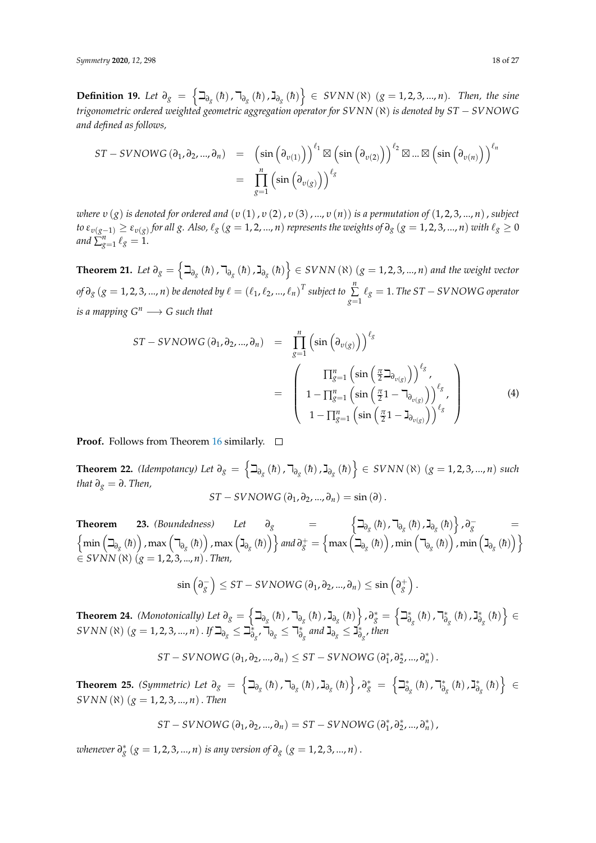**Definition 19.** Let  $\partial_g = \left\{ \exists_{\partial_g} (\hbar)$ ,  $\exists_{\partial_g} (\hbar)$ ,  $\exists_{\partial_g} (\hbar) \right\}$  ∈ *SVNN* (R) (*g* = 1, 2, 3, ..., *n*)*.* Then, the sine *trigonometric ordered weighted geometric aggregation operator for SVNN* (ℵ) *is denoted by ST* − *SVNOWG and defined as follows,*

$$
ST-SVNOWG(\partial_1, \partial_2, ..., \partial_n) = (\sin(\partial_{v(1)}))^{l_1} \boxtimes (\sin(\partial_{v(2)}))^{l_2} \boxtimes ... \boxtimes (\sin(\partial_{v(n)}))^{l_n}
$$
  
= 
$$
\prod_{g=1}^n (\sin(\partial_{v(g)}))^{l_g}
$$

*where v* (*g*) *is denoted for ordered and* (*v*(1),*v*(2),*v*(3),...,*v*(*n*)) *is a permutation of* (1,2,3,...,*n*), *subject* to  $\varepsilon_{v(g-1)}\geq\varepsilon_{v(g)}$  for all  $g.$  Also,  $\ell_g$   $(g=1,2,...,n)$  represents the weights of  $\partial_g$   $(g=1,2,3,...,n)$  with  $\ell_g\geq0$ *and*  $\sum_{g=1}^n \ell_g = 1$ .

**Theorem 21.** Let  $\partial_g = \left\{ \beth_{\partial_g}(\hbar)$  ,  $\daleth_{\partial_g}(\hbar)$  ,  $\gimel_{\partial_g}(\hbar) \right\} \in SVNN$  ( $\aleph$ )  $(g = 1, 2, 3, ..., n)$  and the weight vector  $f(x) = \left(\ell_1, \ell_2, ..., \ell_n\right)^T$  subject to  $\sum_{i=1}^n \ell_i$  $\sum\limits_{g=1}^{\infty}\ell_{g} = 1.$  *The ST − SVNOWG operator is a mapping*  $G^n \longrightarrow G$  *such that* 

$$
ST-SVNOWG(\partial_1, \partial_2, ..., \partial_n) = \prod_{g=1}^n \left(\sin\left(\partial_{v(g)}\right)\right)^{\ell_g}
$$

$$
= \begin{pmatrix} \prod_{g=1}^n \left(\sin\left(\frac{\pi}{2}\Delta_{v(g)}\right)\right)^{\ell_g}, \\ 1 - \prod_{g=1}^n \left(\sin\left(\frac{\pi}{2}1 - \Delta_{v(g)}\right)\right)^{\ell_g}, \\ 1 - \prod_{g=1}^n \left(\sin\left(\frac{\pi}{2}1 - \Delta_{v(g)}\right)\right)^{\ell_g} \end{pmatrix}
$$
(4)

**Proof.** Follows from Theorem [16](#page-15-0) similarly.  $\Box$ 

**Theorem 22.** *(Idempotancy) Let*  $\partial_g = \left\{ \exists_{\partial_g} (\hbar)$ ,  $\exists_{\partial_g} (\hbar)$ ,  $\exists_{\partial_g} (\hbar) \right\}$  ∈ *SVNN* (ℕ) (*g* = 1, 2, 3, ..., *n*) *such that*  $\partial_g = \partial$ . *Then*,

$$
ST-SVNOWG(\partial_1, \partial_2, ..., \partial_n) = \sin(\partial).
$$

**Theorem 23.** (Boundedness) Let  $\partial_g$  =  $\left\{\exists_{\partial_g}(\hbar), \exists_{\partial_g}(\hbar), \exists_{\partial_g}(\hbar)\right\}, \partial_g^-$  =  $\left\{\min\left(\beth_{\partial_{\bar{S}}}\left(\hbar\right)\right)$  ,  $\max\left(\daleth_{\partial_{\bar{S}}}\left(\hbar\right)\right)$  ,  $\max\left(\gimel_{\partial_{\bar{S}}}\left(\hbar\right)\right)\right\}$  and  $\partial_{\bar{S}}^+=\left\{\max\left(\beth_{\partial_{\bar{S}}}\left(\hbar\right)\right)$  ,  $\min\left(\daleth_{\partial_{\bar{S}}}\left(\hbar\right)\right)$  ,  $\min\left(\gimel_{\partial_{\bar{S}}}\left(\hbar\right)\right)\right\}$  $\sum_{i=1}^{n}$  *SVNN*( $\hat{x}$ ) ( $g = 1, 2, 3, ..., n$ ). *Then*,

$$
\sin\left(\partial_{g}^{-}\right)\leq ST-SVNOWG\left(\partial_{1},\partial_{2},...,\partial_{n}\right)\leq \sin\left(\partial_{g}^{+}\right).
$$

 $\bf{Theorem~24.}$  *(Monotonically) Let*  $\partial_g = \left\{ \beth_{\partial_g}(\hbar)$  ,  $\daleth_{\partial_g}(\hbar)$  ,  $\gimel_{\partial_g}(\hbar) \right\}$  ,  $\partial_g^* = \left\{ \beth_{\partial_g}^* \right\}$  $\phi_g^*$  (*h*), ⊣<sub>∂</sub> *∂g* ג ,(̄*h*( ∗  $\left\{ \check{\tilde{\sigma}}_{g}\left(\hbar\right)\right\} \in$  $SVNN$  ( $\aleph$ )  $(g = 1, 2, 3, ..., n)$  . If  $\beth_{\partial_g} \leq \beth_{\partial}^*$  $\check{\bar{\theta}}_g$ , √ີ $\bar{\theta}_g \leq \bar{\theta}^*_g$  $\frac{1}{\partial_{g}}$  and  $\mathbf{J}_{\partial_{g}} \leq \mathbf{J}_{\partial}^*$ *∂g* , *then*

$$
ST-SVNOWG(\partial_1, \partial_2, ..., \partial_n) \leq ST-SVNOWG(\partial_1^*, \partial_2^*, ..., \partial_n^*).
$$

 $\bf{Theorem\ \ 25.}\ \ (Symmetric)\ \ Let\ \ \partial_g\ =\ \Big\{\beth_{\partial_g}\ (\hbar)\ ,\daleth_{\partial_g}\ (\hbar)\ ,\gimel_{\partial_g}\ (\hbar)\Big\}\ ,\partial_g^*\ =\ \Big\{\beth_{\partial_g}^*\ (\hbar)\ ,\phi_g^*\ =\ \P_{\partial_g}^*\ (\hbar)\ ,\phi_g^*\ =\ \P_{\partial_g}^*\ (\hbar)\ ,\phi_g^*\ =\ \P_{\partial_g}^*\ (\hbar)\ ,\phi_g^*\ =\ \P_{\partial_g}^*\ (\hbar)\ ,\phi_g^*\ =\ \P_{\partial_g}^*\ (\hbar)\ ,\phi_g^*\ =\ \P_{\partial_g}^*\ (\hbar$ <sub>∂g</sub> (*h*), ¬\*∂ *∂g* ג ,(̄*h*( ∗  $\left\{ \check{\tilde{\sigma}}_{g}\left(\hbar\right)\right\} \;\in\;$ *SVNN* (ℵ) (*g* = 1, 2, 3, ..., *n*). *Then*

$$
ST-SVNOWG(\partial_1, \partial_2, ..., \partial_n) = ST-SVNOWG(\partial_1^*, \partial_2^*, ..., \partial_n^*)
$$

*whenever*  $\partial_{g}^{*}$  ( $g = 1, 2, 3, ..., n$ ) *is any version of*  $\partial_{g}$  ( $g = 1, 2, 3, ..., n$ ).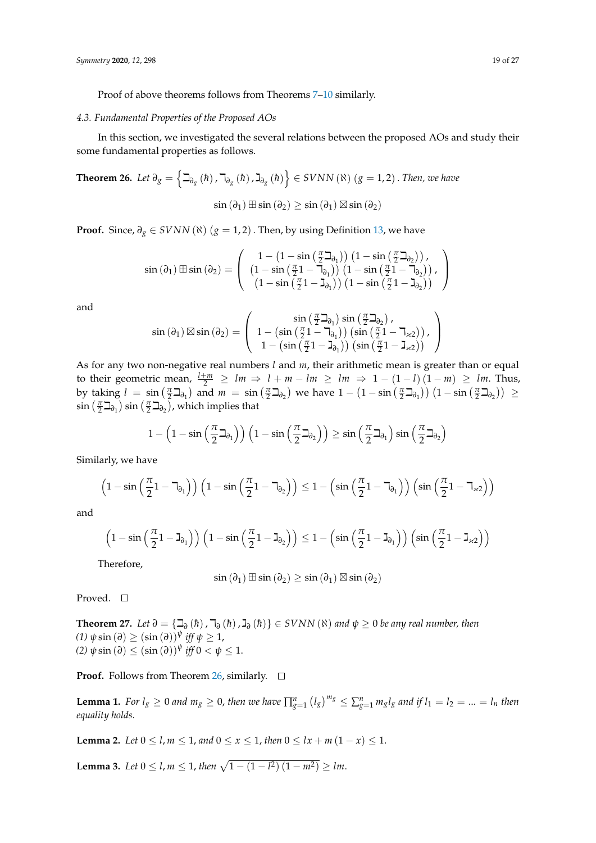Proof of above theorems follows from Theorems [7–](#page-11-1)[10](#page-13-0) similarly.

#### *4.3. Fundamental Properties of the Proposed AOs*

In this section, we investigated the several relations between the proposed AOs and study their some fundamental properties as follows.

<span id="page-18-0"></span>**Theorem 26.** Let 
$$
\partial_g = \left\{ \exists_{\partial_g} (h), \exists_{\partial_g} (h), \exists_{\partial_g} (h) \right\} \in \text{SVNN}(\aleph) \ (g = 1, 2)
$$
. Then, we have  
\n
$$
\sin(\partial_1) \boxplus \sin(\partial_2) \ge \sin(\partial_1) \boxtimes \sin(\partial_2)
$$

**Proof.** Since,  $\partial_g \in SVNN$  ( $\aleph$ ) ( $g = 1, 2$ ). Then, by using Definition [13,](#page-5-1) we have

$$
\sin(\partial_1) \boxplus \sin(\partial_2) = \left( \begin{array}{c} 1 - \left(1 - \sin\left(\frac{\pi}{2}\beth_{\partial_1}\right)\right) \left(1 - \sin\left(\frac{\pi}{2}\beth_{\partial_2}\right)\right), \\ \left(1 - \sin\left(\frac{\pi}{2}1 - \daleth_{\partial_1}\right)\right) \left(1 - \sin\left(\frac{\pi}{2}1 - \daleth_{\partial_2}\right)\right), \\ \left(1 - \sin\left(\frac{\pi}{2}1 - \daleth_{\partial_1}\right)\right) \left(1 - \sin\left(\frac{\pi}{2}1 - \daleth_{\partial_2}\right)\right) \end{array} \right)
$$

and

$$
\sin\left(\partial_{1}\right) \boxtimes \sin\left(\partial_{2}\right) = \left(\begin{array}{c} \sin\left(\frac{\pi}{2}\beth_{\partial_{1}}\right)\sin\left(\frac{\pi}{2}\beth_{\partial_{2}}\right), \\ 1 - \left(\sin\left(\frac{\pi}{2}1 - \daleth_{\partial_{1}}\right)\right)\left(\sin\left(\frac{\pi}{2}1 - \daleth_{\chi_{2}}\right)\right), \\ 1 - \left(\sin\left(\frac{\pi}{2}1 - \beth_{\partial_{1}}\right)\right)\left(\sin\left(\frac{\pi}{2}1 - \beth_{\chi_{2}}\right)\right) \end{array}\right)
$$

As for any two non-negative real numbers *l* and *m*, their arithmetic mean is greater than or equal to their geometric mean,  $\frac{l+m}{2} \ge lm \Rightarrow l+m-lm \ge lm \Rightarrow 1-(1-l)(1-m) \ge lm$ . Thus, by taking  $l = \sin(\frac{\pi}{2} \Delta_{\theta_1})$  and  $m = \sin(\frac{\pi}{2} \Delta_{\theta_2})$  we have  $1 - (1 - \sin(\frac{\pi}{2} \Delta_{\theta_1})) (1 - \sin(\frac{\pi}{2} \Delta_{\theta_2})) \ge$  $\sin\left(\frac{\pi}{2}\beth_{\partial_1}\right)\sin\left(\frac{\pi}{2}\beth_{\partial_2}\right)$ , which implies that

$$
1 - \left(1 - \sin\left(\frac{\pi}{2}\beth_{\partial_1}\right)\right)\left(1 - \sin\left(\frac{\pi}{2}\beth_{\partial_2}\right)\right) \geq \sin\left(\frac{\pi}{2}\beth_{\partial_1}\right)\sin\left(\frac{\pi}{2}\beth_{\partial_2}\right)
$$

Similarly, we have

$$
\left(1-\sin\left(\frac{\pi}{2}1-\mathbf{1}_{\partial_1}\right)\right)\left(1-\sin\left(\frac{\pi}{2}1-\mathbf{1}_{\partial_2}\right)\right)\leq 1-\left(\sin\left(\frac{\pi}{2}1-\mathbf{1}_{\partial_1}\right)\right)\left(\sin\left(\frac{\pi}{2}1-\mathbf{1}_{\varkappa2}\right)\right)
$$

and

$$
\left(1-\sin\left(\frac{\pi}{2}1-J_{\partial_1}\right)\right)\left(1-\sin\left(\frac{\pi}{2}1-J_{\partial_2}\right)\right)\leq 1-\left(\sin\left(\frac{\pi}{2}1-J_{\partial_1}\right)\right)\left(\sin\left(\frac{\pi}{2}1-J_{\varkappa2}\right)\right)
$$

Therefore,

$$
\sin(\partial_1) \boxplus \sin(\partial_2) \geq \sin(\partial_1) \boxtimes \sin(\partial_2)
$$

Proved. □

**Theorem 27.** *Let*  $\partial = {\mathcal{Q}(\hbar)}$ ,  $\mathcal{P}_\partial(h)$ ,  $\mathcal{Q}(\hbar)$ ,  $\mathcal{Q}(\hbar)$   $\in$  *SVNN* ( $\aleph$ ) *and*  $\psi \geq 0$  *be any real number, then*  $(1)$   $\psi$  sin  $(\partial) \geq (\sin(\partial))^{\psi}$  *iff*  $\psi \geq 1$ , *(2)*  $\psi \sin(\partial) \le (\sin(\partial))^{\psi}$  *iff*  $0 < \psi \le 1$ .

**Proof.** Follows from Theorem [26,](#page-18-0) similarly.  $\Box$ 

**Lemma 1.** For  $l_g \ge 0$  and  $m_g \ge 0$ , then we have  $\prod_{g=1}^n (l_g)^{m_g} \le \sum_{g=1}^n m_g l_g$  and if  $l_1 = l_2 = ... = l_n$  then *equality holds.*

**Lemma 2.** *Let*  $0 \le l, m \le 1$ , *and*  $0 \le x \le 1$ , *then*  $0 \le lx + m(1 - x) \le 1$ .

**Lemma 3.** Let  $0 \leq l, m \leq 1$ , then  $\sqrt{1 - (1 - l^2)(1 - m^2)} \geq lm$ .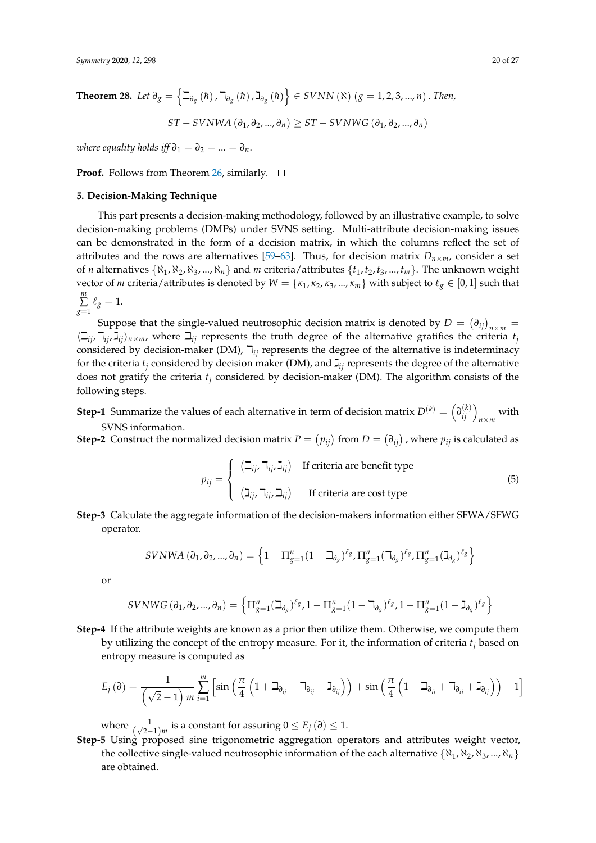$$
ST-SVNWA(\partial_1, \partial_2, ..., \partial_n) \ge ST-SVNWG(\partial_1, \partial_2, ..., \partial_n)
$$

*where equality holds iff*  $\partial_1 = \partial_2 = ... = \partial_n$ .

**Proof.** Follows from Theorem [26,](#page-18-0) similarly.  $\Box$ 

#### <span id="page-19-0"></span>**5. Decision-Making Technique**

This part presents a decision-making methodology, followed by an illustrative example, to solve decision-making problems (DMPs) under SVNS setting. Multi-attribute decision-making issues can be demonstrated in the form of a decision matrix, in which the columns reflect the set of attributes and the rows are alternatives [\[59](#page-26-6)[–63\]](#page-26-7). Thus, for decision matrix  $D_{n\times m}$ , consider a set of *n* alternatives  $\{N_1, N_2, N_3, ..., N_n\}$  and *m* criteria/attributes  $\{t_1, t_2, t_3, ..., t_m\}$ . The unknown weight vector of *m* criteria/attributes is denoted by  $W = \{\kappa_1, \kappa_2, \kappa_3, ..., \kappa_m\}$  with subject to  $\ell_g \in [0, 1]$  such that *m* ∑  $\sum_{g=1} \ell_g = 1.$ 

Suppose that the single-valued neutrosophic decision matrix is denoted by  $D = (\partial_{ij})_{n \times m} =$  $\langle \Box_{ij}, \Box_{ij}, \Box_{ij} \rangle_{n \times m}$ , where  $\Box_{ij}$  represents the truth degree of the alternative gratifies the criteria  $t_j$ considered by decision-maker (DM),  $\bar{v}_{ij}$  represents the degree of the alternative is indeterminacy for the criteria  $t_i$  considered by decision maker (DM), and  $\mathbf{I}_{ii}$  represents the degree of the alternative does not gratify the criteria *t<sup>j</sup>* considered by decision-maker (DM). The algorithm consists of the following steps.

**Step-1** Summarize the values of each alternative in term of decision matrix  $D^{(k)} = \left(\frac{\partial^{(k)}_{ij}}{\partial x_{m}}\right)_{n \times m}$  with SVNS information.

**Step-2** Construct the normalized decision matrix  $P = (p_{ij})$  from  $D = (\partial_{ij})$ , where  $p_{ij}$  is calculated as

<span id="page-19-1"></span>
$$
p_{ij} = \begin{cases} (\beth_{ij}, \daleth_{ij}, \jrcorner_{ij}) & \text{If criteria are benefit type} \\ (\beth_{ij}, \daleth_{ij}, \beth_{ij}) & \text{If criteria are cost type} \end{cases}
$$
(5)

**Step-3** Calculate the aggregate information of the decision-makers information either SFWA/SFWG operator.

$$
SVNWA (\partial_1, \partial_2, ..., \partial_n) = \left\{ 1 - \Pi_{g=1}^n (1 - \beth_{\partial_g})^{\ell_g}, \Pi_{g=1}^n (\beth_{\partial_g})^{\ell_g}, \Pi_{g=1}^n (\beth_{\partial_g})^{\ell_g} \right\}
$$

or

$$
SVNWG(\partial_1, \partial_2, ..., \partial_n) = \left\{ \Pi_{g=1}^n (\beth_{\partial_g})^{\ell_g}, 1 - \Pi_{g=1}^n (1 - \beth_{\partial_g})^{\ell_g}, 1 - \Pi_{g=1}^n (1 - \beth_{\partial_g})^{\ell_g} \right\}
$$

**Step-4** If the attribute weights are known as a prior then utilize them. Otherwise, we compute them by utilizing the concept of the entropy measure. For it, the information of criteria *t<sup>j</sup>* based on entropy measure is computed as

$$
E_j(\partial) = \frac{1}{\left(\sqrt{2}-1\right)m} \sum_{i=1}^m \left[ \sin\left(\frac{\pi}{4}\left(1+\beth_{\partial_{ij}}-\beth_{\partial_{ij}}-\beth_{\partial_{ij}}\right)\right) + \sin\left(\frac{\pi}{4}\left(1-\beth_{\partial_{ij}}+\beth_{\partial_{ij}}+\beth_{\partial_{ij}}\right)\right) - 1 \right]
$$

where  $\frac{1}{(\sqrt{2}-1)m}$  is a constant for assuring  $0 \le E_j(\partial) \le 1$ .

**Step-5** Using proposed sine trigonometric aggregation operators and attributes weight vector, the collective single-valued neutrosophic information of the each alternative  $\{\aleph_1, \aleph_2, \aleph_3, ..., \aleph_n\}$ are obtained.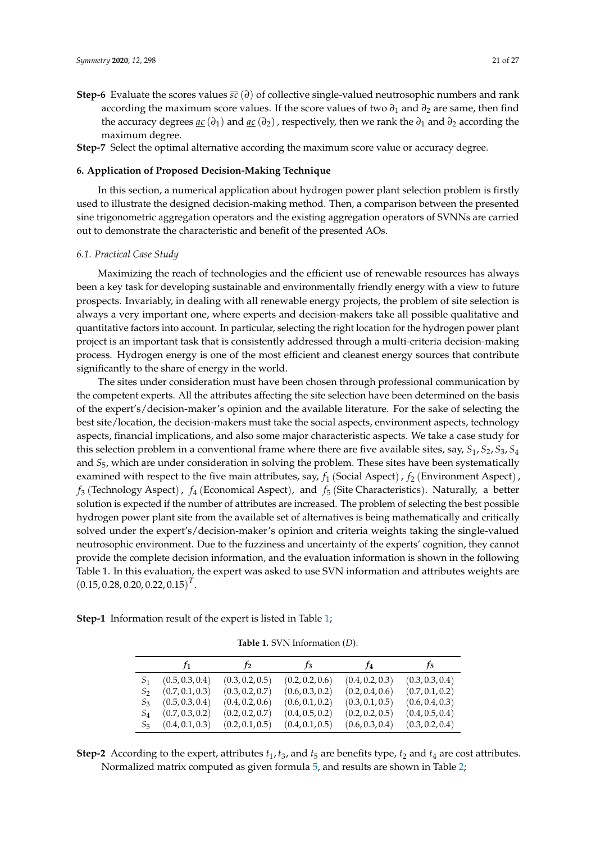**Step-6** Evaluate the scores values *sc* (*∂*) of collective single-valued neutrosophic numbers and rank according the maximum score values. If the score values of two *∂*<sup>1</sup> and *∂*<sup>2</sup> are same, then find the accuracy degrees  $\underline{ac}(\partial_1)$  and  $\underline{ac}(\partial_2)$ , respectively, then we rank the  $\partial_1$  and  $\partial_2$  according the maximum degree.

**Step-7** Select the optimal alternative according the maximum score value or accuracy degree.

#### <span id="page-20-0"></span>**6. Application of Proposed Decision-Making Technique**

In this section, a numerical application about hydrogen power plant selection problem is firstly used to illustrate the designed decision-making method. Then, a comparison between the presented sine trigonometric aggregation operators and the existing aggregation operators of SVNNs are carried out to demonstrate the characteristic and benefit of the presented AOs.

#### *6.1. Practical Case Study*

Maximizing the reach of technologies and the efficient use of renewable resources has always been a key task for developing sustainable and environmentally friendly energy with a view to future prospects. Invariably, in dealing with all renewable energy projects, the problem of site selection is always a very important one, where experts and decision-makers take all possible qualitative and quantitative factors into account. In particular, selecting the right location for the hydrogen power plant project is an important task that is consistently addressed through a multi-criteria decision-making process. Hydrogen energy is one of the most efficient and cleanest energy sources that contribute significantly to the share of energy in the world.

The sites under consideration must have been chosen through professional communication by the competent experts. All the attributes affecting the site selection have been determined on the basis of the expert's/decision-maker's opinion and the available literature. For the sake of selecting the best site/location, the decision-makers must take the social aspects, environment aspects, technology aspects, financial implications, and also some major characteristic aspects. We take a case study for this selection problem in a conventional frame where there are five available sites, say, *S*1, *S*2, *S*3, *S*<sup>4</sup> and *S*5, which are under consideration in solving the problem. These sites have been systematically examined with respect to the five main attributes, say, *f*<sup>1</sup> (Social Aspect), *f*<sup>2</sup> (Environment Aspect), *f*<sup>3</sup> (Technology Aspect), *f*<sup>4</sup> (Economical Aspect), and *f*<sup>5</sup> (Site Characteristics). Naturally, a better solution is expected if the number of attributes are increased. The problem of selecting the best possible hydrogen power plant site from the available set of alternatives is being mathematically and critically solved under the expert's/decision-maker's opinion and criteria weights taking the single-valued neutrosophic environment. Due to the fuzziness and uncertainty of the experts' cognition, they cannot provide the complete decision information, and the evaluation information is shown in the following Table 1. In this evaluation, the expert was asked to use SVN information and attributes weights are  $(0.15, 0.28, 0.20, 0.22, 0.15)^T$ .

<span id="page-20-1"></span>**Step-1** Information result of the expert is listed in Table [1;](#page-20-1)

**Table 1.** SVN Information (*D*).

|       | $f_1$           | r <sub>2</sub>  | $f_3$           | $t_4$           | $f_{5}$         |
|-------|-----------------|-----------------|-----------------|-----------------|-----------------|
| S1    | (0.5, 0.3, 0.4) | (0.3, 0.2, 0.5) | (0.2, 0.2, 0.6) | (0.4, 0.2, 0.3) | (0.3, 0.3, 0.4) |
| S2    | (0.7, 0.1, 0.3) | (0.3, 0.2, 0.7) | (0.6, 0.3, 0.2) | (0.2, 0.4, 0.6) | (0.7, 0.1, 0.2) |
| $S_3$ | (0.5, 0.3, 0.4) | (0.4, 0.2, 0.6) | (0.6, 0.1, 0.2) | (0.3, 0.1, 0.5) | (0.6, 0.4, 0.3) |
| $S_4$ | (0.7, 0.3, 0.2) | (0.2, 0.2, 0.7) | (0.4, 0.5, 0.2) | (0.2, 0.2, 0.5) | (0.4, 0.5, 0.4) |
| $S_5$ | (0.4, 0.1, 0.3) | (0.2, 0.1, 0.5) | (0.4, 0.1, 0.5) | (0.6, 0.3, 0.4) | (0.3, 0.2, 0.4) |

**Step-2** According to the expert, attributes  $t_1$ ,  $t_3$ , and  $t_5$  are benefits type,  $t_2$  and  $t_4$  are cost attributes. Normalized matrix computed as given formula [5,](#page-19-1) and results are shown in Table [2;](#page-21-0)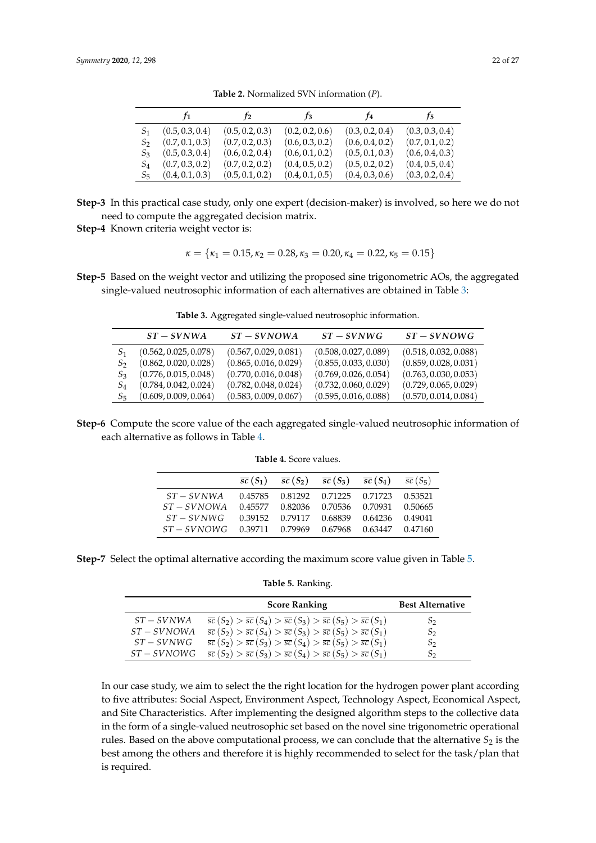<span id="page-21-0"></span>

|                | r <sub>1</sub>  | $\mathfrak{f}_2$ | $r_3$           | $f_4$           | $f_5$           |
|----------------|-----------------|------------------|-----------------|-----------------|-----------------|
|                | (0.5, 0.3, 0.4) | (0.5, 0.2, 0.3)  | (0.2, 0.2, 0.6) | (0.3, 0.2, 0.4) | (0.3, 0.3, 0.4) |
| S2             | (0.7, 0.1, 0.3) | (0.7, 0.2, 0.3)  | (0.6, 0.3, 0.2) | (0.6, 0.4, 0.2) | (0.7, 0.1, 0.2) |
| S <sub>3</sub> | (0.5, 0.3, 0.4) | (0.6, 0.2, 0.4)  | (0.6, 0.1, 0.2) | (0.5, 0.1, 0.3) | (0.6, 0.4, 0.3) |
| $S_4$          | (0.7, 0.3, 0.2) | (0.7, 0.2, 0.2)  | (0.4, 0.5, 0.2) | (0.5, 0.2, 0.2) | (0.4, 0.5, 0.4) |
| $S_5$          | (0.4, 0.1, 0.3) | (0.5, 0.1, 0.2)  | (0.4, 0.1, 0.5) | (0.4, 0.3, 0.6) | (0.3, 0.2, 0.4) |

**Table 2.** Normalized SVN information (*P*).

**Step-3** In this practical case study, only one expert (decision-maker) is involved, so here we do not need to compute the aggregated decision matrix.

**Step-4** Known criteria weight vector is:

$$
\kappa=\{\kappa_1=0.15,\kappa_2=0.28,\kappa_3=0.20,\kappa_4=0.22,\kappa_5=0.15\}
$$

<span id="page-21-1"></span>**Step-5** Based on the weight vector and utilizing the proposed sine trigonometric AOs, the aggregated single-valued neutrosophic information of each alternatives are obtained in Table [3:](#page-21-1)

|                 | $ST-SVNWA$            | $ST-SVNOWA$           | $ST-SVNWG$            | $ST-SVNOWG$           |
|-----------------|-----------------------|-----------------------|-----------------------|-----------------------|
| S1              | (0.562, 0.025, 0.078) | (0.567, 0.029, 0.081) | (0.508, 0.027, 0.089) | (0.518, 0.032, 0.088) |
| S2              | (0.862, 0.020, 0.028) | (0.865, 0.016, 0.029) | (0.855, 0.033, 0.030) | (0.859, 0.028, 0.031) |
| S3              | (0.776, 0.015, 0.048) | (0.770, 0.016, 0.048) | (0.769, 0.026, 0.054) | (0.763, 0.030, 0.053) |
| $\mathcal{S}_4$ | (0.784, 0.042, 0.024) | (0.782, 0.048, 0.024) | (0.732, 0.060, 0.029) | (0.729, 0.065, 0.029) |
| $S_5$           | (0.609, 0.009, 0.064) | (0.583, 0.009, 0.067) | (0.595, 0.016, 0.088) | (0.570, 0.014, 0.084) |
|                 |                       |                       |                       |                       |

**Table 3.** Aggregated single-valued neutrosophic information.

<span id="page-21-2"></span>**Step-6** Compute the score value of the each aggregated single-valued neutrosophic information of each alternative as follows in Table [4.](#page-21-2)

| <b>Table 4.</b> Score values. |
|-------------------------------|
|-------------------------------|

|             |                                         |  | $\overline{sc}(S_1)$ $\overline{sc}(S_2)$ $\overline{sc}(S_3)$ $\overline{sc}(S_4)$ $\overline{sc}(S_5)$ |  |
|-------------|-----------------------------------------|--|----------------------------------------------------------------------------------------------------------|--|
| $ST-SVNWA$  |                                         |  | 0.45785 0.81292 0.71225 0.71723 0.53521                                                                  |  |
| $ST-SVNOWA$ |                                         |  | 0.45577 0.82036 0.70536 0.70931 0.50665                                                                  |  |
| $ST-SVNWG$  |                                         |  | 0.39152 0.79117 0.68839 0.64236 0.49041                                                                  |  |
| $ST-SVNOWG$ | 0.39711 0.79969 0.67968 0.63447 0.47160 |  |                                                                                                          |  |

<span id="page-21-3"></span>**Step-7** Select the optimal alternative according the maximum score value given in Table [5.](#page-21-3)

**Table 5.** Ranking.

|             | <b>Score Ranking</b>                                                                                     | <b>Best Alternative</b> |
|-------------|----------------------------------------------------------------------------------------------------------|-------------------------|
| $ST-SVNWA$  | $\overline{sc}(S_2) > \overline{sc}(S_4) > \overline{sc}(S_3) > \overline{sc}(S_5) > \overline{sc}(S_1)$ | $S_2$                   |
| $ST-SVNOWA$ | $\overline{sc}(S_2) > \overline{sc}(S_4) > \overline{sc}(S_3) > \overline{sc}(S_5) > \overline{sc}(S_1)$ | S2                      |
| $ST-SVNWG$  | $\overline{sc}(S_2) > \overline{sc}(S_3) > \overline{sc}(S_4) > \overline{sc}(S_5) > \overline{sc}(S_1)$ | $S_2$                   |
| $ST-SVNOWG$ | $\overline{sc}(S_2) > \overline{sc}(S_3) > \overline{sc}(S_4) > \overline{sc}(S_5) > \overline{sc}(S_1)$ | S2                      |

In our case study, we aim to select the the right location for the hydrogen power plant according to five attributes: Social Aspect, Environment Aspect, Technology Aspect, Economical Aspect, and Site Characteristics. After implementing the designed algorithm steps to the collective data in the form of a single-valued neutrosophic set based on the novel sine trigonometric operational rules. Based on the above computational process, we can conclude that the alternative  $S_2$  is the best among the others and therefore it is highly recommended to select for the task/plan that is required.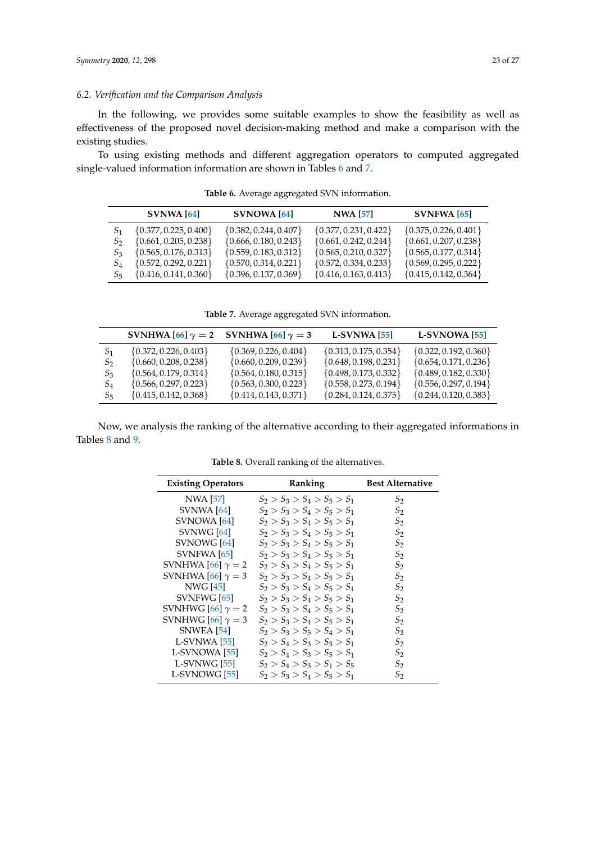#### *6.2. Verification and the Comparison Analysis*

In the following, we provides some suitable examples to show the feasibility as well as effectiveness of the proposed novel decision-making method and make a comparison with the existing studies.

<span id="page-22-0"></span>To using existing methods and different aggregation operators to computed aggregated single-valued information information are shown in Tables [6](#page-22-0) and [7.](#page-22-1)

|                | <b>SVNWA</b> [64]         | <b>SVNOWA</b> [64]        | <b>NWA [57]</b>           | $SUNFWA$ [65]             |
|----------------|---------------------------|---------------------------|---------------------------|---------------------------|
|                | $\{0.377, 0.225, 0.400\}$ | $\{0.382, 0.244, 0.407\}$ | $\{0.377, 0.231, 0.422\}$ | $\{0.375, 0.226, 0.401\}$ |
| $S_2$          | $\{0.661, 0.205, 0.238\}$ | $\{0.666, 0.180, 0.243\}$ | $\{0.661, 0.242, 0.244\}$ | $\{0.661, 0.207, 0.238\}$ |
| S <sub>3</sub> | $\{0.565, 0.176, 0.313\}$ | $\{0.559, 0.183, 0.312\}$ | $\{0.565, 0.210, 0.327\}$ | $\{0.565, 0.177, 0.314\}$ |
| $S_4$          | $\{0.572, 0.292, 0.221\}$ | $\{0.570, 0.314, 0.221\}$ | $\{0.572, 0.334, 0.233\}$ | $\{0.569, 0.295, 0.222\}$ |
| $S_{5}$        | $\{0.416, 0.141, 0.360\}$ | $\{0.396, 0.137, 0.369\}$ | $\{0.416, 0.163, 0.413\}$ | $\{0.415, 0.142, 0.364\}$ |

**Table 6.** Average aggregated SVN information.

**Table 7.** Average aggregated SVN information.

<span id="page-22-1"></span>

|                |                           | SVNHWA [66] $\gamma = 2$ SVNHWA [66] $\gamma = 3$ | $L-SVNWA$ [55]            | L-SVNOWA [55]             |
|----------------|---------------------------|---------------------------------------------------|---------------------------|---------------------------|
| S <sub>1</sub> | $\{0.372, 0.226, 0.403\}$ | $\{0.369, 0.226, 0.404\}$                         | $\{0.313, 0.175, 0.354\}$ | $\{0.322, 0.192, 0.360\}$ |
| $S_2$          | $\{0.660, 0.208, 0.238\}$ | $\{0.660, 0.209, 0.239\}$                         | $\{0.648, 0.198, 0.231\}$ | $\{0.654, 0.171, 0.236\}$ |
| $S_3$          | $\{0.564, 0.179, 0.314\}$ | $\{0.564, 0.180, 0.315\}$                         | $\{0.498, 0.173, 0.332\}$ | $\{0.489, 0.182, 0.330\}$ |
| $S_4$          | $\{0.566, 0.297, 0.223\}$ | $\{0.563, 0.300, 0.223\}$                         | $\{0.558, 0.273, 0.194\}$ | $\{0.556, 0.297, 0.194\}$ |
| $S_{5}$        | $\{0.415, 0.142, 0.368\}$ | $\{0.414, 0.143, 0.371\}$                         | $\{0.284, 0.124, 0.375\}$ | $\{0.244, 0.120, 0.383\}$ |

<span id="page-22-2"></span>Now, we analysis the ranking of the alternative according to their aggregated informations in Tables [8](#page-22-2) and [9.](#page-23-0)

| <b>Existing Operators</b> | <b>Ranking</b>                | <b>Best Alternative</b> |
|---------------------------|-------------------------------|-------------------------|
| NWA [57]                  | $S_2 > S_3 > S_4 > S_5 > S_1$ | $S_2$                   |
| SVNWA $[64]$              | $S_2 > S_3 > S_4 > S_5 > S_1$ | $S_2$                   |
| SVNOWA <sup>[64]</sup>    | $S_2 > S_3 > S_4 > S_5 > S_1$ | $S_2$                   |
| SVNWG [64]                | $S_2 > S_3 > S_4 > S_5 > S_1$ | S <sub>2</sub>          |
| SVNOWG <sup>[64]</sup>    | $S_2 > S_3 > S_4 > S_5 > S_1$ | $S_2$                   |
| SVNFWA [65]               | $S_2 > S_3 > S_4 > S_5 > S_1$ | $S_2$                   |
| SVNHWA [66] $\gamma = 2$  | $S_2 > S_3 > S_4 > S_5 > S_1$ | $S_2$                   |
| SVNHWA [66] $\gamma = 3$  | $S_2 > S_3 > S_4 > S_5 > S_1$ | $S_2$                   |
| NWG [45]                  | $S_2 > S_3 > S_4 > S_5 > S_1$ | S <sub>2</sub>          |
| SVNFWG [65]               | $S_2 > S_3 > S_4 > S_5 > S_1$ | S <sub>2</sub>          |
| SVNHWG [66] $\gamma = 2$  | $S_2 > S_3 > S_4 > S_5 > S_1$ | $S_2$                   |
| SVNHWG [66] $\gamma = 3$  | $S_2 > S_3 > S_4 > S_5 > S_1$ | $S_2$                   |
| <b>SNWEA</b> [54]         | $S_2 > S_3 > S_5 > S_4 > S_1$ | $S_2$                   |
| $L-SVNWA$ [55]            | $S_2 > S_4 > S_3 > S_5 > S_1$ | S <sub>2</sub>          |
| L-SVNOWA [55]             | $S_2 > S_4 > S_3 > S_5 > S_1$ | $S_2$                   |
| L-SVNWG [55]              | $S_2 > S_4 > S_3 > S_1 > S_5$ | $S_2$                   |
| L-SVNOWG <sup>[55]</sup>  | $S_2 > S_3 > S_4 > S_5 > S_1$ | S2                      |

**Table 8.** Overall ranking of the alternatives.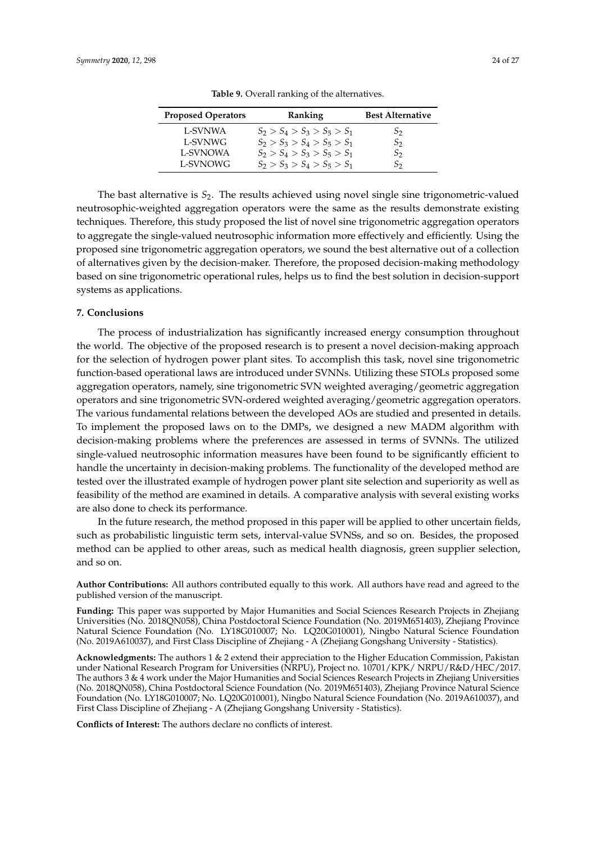<span id="page-23-0"></span>

| <b>Proposed Operators</b> | Ranking                       | <b>Best Alternative</b> |
|---------------------------|-------------------------------|-------------------------|
| L-SVNWA                   | $S_2 > S_4 > S_3 > S_5 > S_1$ | $S_2$                   |
| L-SVNWG                   | $S_2 > S_3 > S_4 > S_5 > S_1$ | $S_2$                   |
| <b>L-SVNOWA</b>           | $S_2 > S_4 > S_3 > S_5 > S_1$ | $S_2$                   |
| L-SVNOWG                  | $S_2 > S_3 > S_4 > S_5 > S_1$ | $S_2$                   |

**Table 9.** Overall ranking of the alternatives.

The bast alternative is  $S_2$ . The results achieved using novel single sine trigonometric-valued neutrosophic-weighted aggregation operators were the same as the results demonstrate existing techniques. Therefore, this study proposed the list of novel sine trigonometric aggregation operators to aggregate the single-valued neutrosophic information more effectively and efficiently. Using the proposed sine trigonometric aggregation operators, we sound the best alternative out of a collection of alternatives given by the decision-maker. Therefore, the proposed decision-making methodology based on sine trigonometric operational rules, helps us to find the best solution in decision-support systems as applications.

#### **7. Conclusions**

The process of industrialization has significantly increased energy consumption throughout the world. The objective of the proposed research is to present a novel decision-making approach for the selection of hydrogen power plant sites. To accomplish this task, novel sine trigonometric function-based operational laws are introduced under SVNNs. Utilizing these STOLs proposed some aggregation operators, namely, sine trigonometric SVN weighted averaging/geometric aggregation operators and sine trigonometric SVN-ordered weighted averaging/geometric aggregation operators. The various fundamental relations between the developed AOs are studied and presented in details. To implement the proposed laws on to the DMPs, we designed a new MADM algorithm with decision-making problems where the preferences are assessed in terms of SVNNs. The utilized single-valued neutrosophic information measures have been found to be significantly efficient to handle the uncertainty in decision-making problems. The functionality of the developed method are tested over the illustrated example of hydrogen power plant site selection and superiority as well as feasibility of the method are examined in details. A comparative analysis with several existing works are also done to check its performance.

In the future research, the method proposed in this paper will be applied to other uncertain fields, such as probabilistic linguistic term sets, interval-value SVNSs, and so on. Besides, the proposed method can be applied to other areas, such as medical health diagnosis, green supplier selection, and so on.

**Author Contributions:** All authors contributed equally to this work. All authors have read and agreed to the published version of the manuscript.

**Funding:** This paper was supported by Major Humanities and Social Sciences Research Projects in Zhejiang Universities (No. 2018QN058), China Postdoctoral Science Foundation (No. 2019M651403), Zhejiang Province Natural Science Foundation (No. LY18G010007; No. LQ20G010001), Ningbo Natural Science Foundation (No. 2019A610037), and First Class Discipline of Zhejiang - A (Zhejiang Gongshang University - Statistics).

**Acknowledgments:** The authors 1 & 2 extend their appreciation to the Higher Education Commission, Pakistan under National Research Program for Universities (NRPU), Project no. 10701/KPK/ NRPU/R&D/HEC/2017. The authors 3 & 4 work under the Major Humanities and Social Sciences Research Projects in Zhejiang Universities (No. 2018QN058), China Postdoctoral Science Foundation (No. 2019M651403), Zhejiang Province Natural Science Foundation (No. LY18G010007; No. LQ20G010001), Ningbo Natural Science Foundation (No. 2019A610037), and First Class Discipline of Zhejiang - A (Zhejiang Gongshang University - Statistics).

**Conflicts of Interest:** The authors declare no conflicts of interest.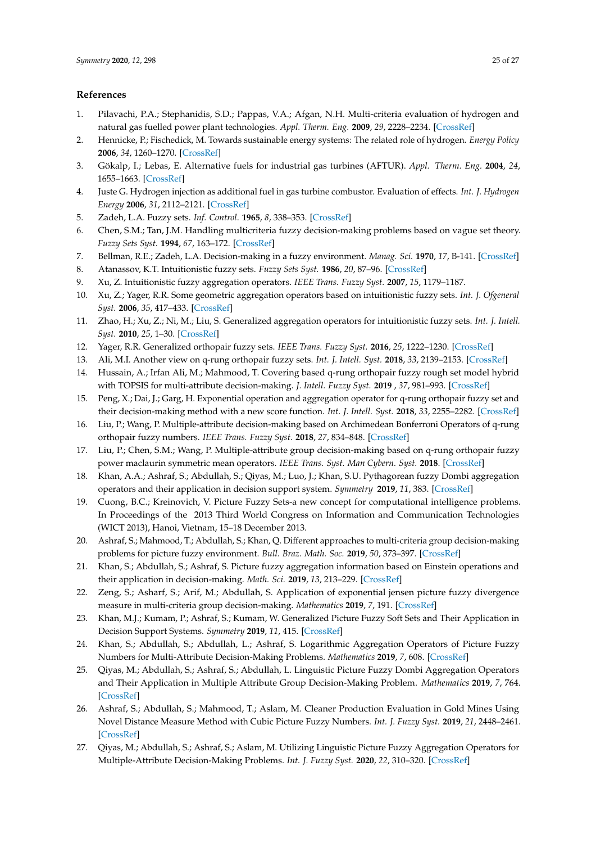#### **References**

- <span id="page-24-0"></span>1. Pilavachi, P.A.; Stephanidis, S.D.; Pappas, V.A.; Afgan, N.H. Multi-criteria evaluation of hydrogen and natural gas fuelled power plant technologies. *Appl. Therm. Eng.* **2009**, *29*, 2228–2234. [\[CrossRef\]](http://dx.doi.org/10.1016/j.applthermaleng.2008.11.014)
- <span id="page-24-1"></span>2. Hennicke, P.; Fischedick, M. Towards sustainable energy systems: The related role of hydrogen. *Energy Policy* **2006**, *34*, 1260–1270. [\[CrossRef\]](http://dx.doi.org/10.1016/j.enpol.2005.12.016)
- <span id="page-24-2"></span>3. Gökalp, I.; Lebas, E. Alternative fuels for industrial gas turbines (AFTUR). *Appl. Therm. Eng.* **2004**, *24*, 1655–1663. [\[CrossRef\]](http://dx.doi.org/10.1016/j.applthermaleng.2003.10.035)
- <span id="page-24-3"></span>4. Juste G. Hydrogen injection as additional fuel in gas turbine combustor. Evaluation of effects. *Int. J. Hydrogen Energy* **2006**, *31*, 2112–2121. [\[CrossRef\]](http://dx.doi.org/10.1016/j.ijhydene.2006.02.006)
- <span id="page-24-4"></span>5. Zadeh, L.A. Fuzzy sets. *Inf. Control*. **1965**, *8*, 338–353. [\[CrossRef\]](http://dx.doi.org/10.1016/S0019-9958(65)90241-X)
- <span id="page-24-5"></span>6. Chen, S.M.; Tan, J.M. Handling multicriteria fuzzy decision-making problems based on vague set theory. *Fuzzy Sets Syst.* **1994**, *67*, 163–172. [\[CrossRef\]](http://dx.doi.org/10.1016/0165-0114(94)90084-1)
- <span id="page-24-6"></span>7. Bellman, R.E.; Zadeh, L.A. Decision-making in a fuzzy environment. *Manag. Sci.* **1970**, *17*, B-141. [\[CrossRef\]](http://dx.doi.org/10.1287/mnsc.17.4.B141)
- <span id="page-24-7"></span>8. Atanassov, K.T. Intuitionistic fuzzy sets. *Fuzzy Sets Syst.* **1986**, *20*, 87–96. [\[CrossRef\]](http://dx.doi.org/10.1016/S0165-0114(86)80034-3)
- <span id="page-24-8"></span>9. Xu, Z. Intuitionistic fuzzy aggregation operators. *IEEE Trans. Fuzzy Syst.* **2007**, *15*, 1179–1187.
- 10. Xu, Z.; Yager, R.R. Some geometric aggregation operators based on intuitionistic fuzzy sets. *Int. J. Ofgeneral Syst.* **2006**, *35*, 417–433. [\[CrossRef\]](http://dx.doi.org/10.1080/03081070600574353)
- <span id="page-24-9"></span>11. Zhao, H.; Xu, Z.; Ni, M.; Liu, S. Generalized aggregation operators for intuitionistic fuzzy sets. *Int. J. Intell. Syst.* **2010**, *25*, 1–30. [\[CrossRef\]](http://dx.doi.org/10.1002/int.20386)
- <span id="page-24-10"></span>12. Yager, R.R. Generalized orthopair fuzzy sets. *IEEE Trans. Fuzzy Syst.* **2016**, *25*, 1222–1230. [\[CrossRef\]](http://dx.doi.org/10.1109/TFUZZ.2016.2604005)
- <span id="page-24-11"></span>13. Ali, M.I. Another view on q-rung orthopair fuzzy sets. *Int. J. Intell. Syst.* **2018**, *33*, 2139–2153. [\[CrossRef\]](http://dx.doi.org/10.1002/int.22007)
- 14. Hussain, A.; Irfan Ali, M.; Mahmood, T. Covering based q-rung orthopair fuzzy rough set model hybrid with TOPSIS for multi-attribute decision-making. *J. Intell. Fuzzy Syst.* **2019** , *37*, 981–993. [\[CrossRef\]](http://dx.doi.org/10.3233/JIFS-181832)
- 15. Peng, X.; Dai, J.; Garg, H. Exponential operation and aggregation operator for q-rung orthopair fuzzy set and their decision-making method with a new score function. *Int. J. Intell. Syst.* **2018**, *33*, 2255–2282. [\[CrossRef\]](http://dx.doi.org/10.1002/int.22028)
- 16. Liu, P.; Wang, P. Multiple-attribute decision-making based on Archimedean Bonferroni Operators of q-rung orthopair fuzzy numbers. *IEEE Trans. Fuzzy Syst.* **2018**, *27*, 834–848. [\[CrossRef\]](http://dx.doi.org/10.1109/TFUZZ.2018.2826452)
- 17. Liu, P.; Chen, S.M.; Wang, P. Multiple-attribute group decision-making based on q-rung orthopair fuzzy power maclaurin symmetric mean operators. *IEEE Trans. Syst. Man Cybern. Syst.* **2018**. [\[CrossRef\]](http://dx.doi.org/10.1109/TSMC.2018.2852948)
- <span id="page-24-12"></span>18. Khan, A.A.; Ashraf, S.; Abdullah, S.; Qiyas, M.; Luo, J.; Khan, S.U. Pythagorean fuzzy Dombi aggregation operators and their application in decision support system. *Symmetry* **2019**, *11*, 383. [\[CrossRef\]](http://dx.doi.org/10.3390/sym11030383)
- <span id="page-24-13"></span>19. Cuong, B.C.; Kreinovich, V. Picture Fuzzy Sets-a new concept for computational intelligence problems. In Proceedings of the 2013 Third World Congress on Information and Communication Technologies (WICT 2013), Hanoi, Vietnam, 15–18 December 2013.
- <span id="page-24-14"></span>20. Ashraf, S.; Mahmood, T.; Abdullah, S.; Khan, Q. Different approaches to multi-criteria group decision-making problems for picture fuzzy environment. *Bull. Braz. Math. Soc.* **2019**, *50*, 373–397. [\[CrossRef\]](http://dx.doi.org/10.1007/s00574-018-0103-y)
- 21. Khan, S.; Abdullah, S.; Ashraf, S. Picture fuzzy aggregation information based on Einstein operations and their application in decision-making. *Math. Sci.* **2019**, *13*, 213–229. [\[CrossRef\]](http://dx.doi.org/10.1007/s40096-019-0291-7)
- 22. Zeng, S.; Asharf, S.; Arif, M.; Abdullah, S. Application of exponential jensen picture fuzzy divergence measure in multi-criteria group decision-making. *Mathematics* **2019**, *7*, 191. [\[CrossRef\]](http://dx.doi.org/10.3390/math7020191)
- 23. Khan, M.J.; Kumam, P.; Ashraf, S.; Kumam, W. Generalized Picture Fuzzy Soft Sets and Their Application in Decision Support Systems. *Symmetry* **2019**, *11*, 415. [\[CrossRef\]](http://dx.doi.org/10.3390/sym11030415)
- 24. Khan, S.; Abdullah, S.; Abdullah, L.; Ashraf, S. Logarithmic Aggregation Operators of Picture Fuzzy Numbers for Multi-Attribute Decision-Making Problems. *Mathematics* **2019**, *7*, 608. [\[CrossRef\]](http://dx.doi.org/10.3390/math7070608)
- 25. Qiyas, M.; Abdullah, S.; Ashraf, S.; Abdullah, L. Linguistic Picture Fuzzy Dombi Aggregation Operators and Their Application in Multiple Attribute Group Decision-Making Problem. *Mathematics* **2019**, *7*, 764. [\[CrossRef\]](http://dx.doi.org/10.3390/math7080764)
- 26. Ashraf, S.; Abdullah, S.; Mahmood, T.; Aslam, M. Cleaner Production Evaluation in Gold Mines Using Novel Distance Measure Method with Cubic Picture Fuzzy Numbers. *Int. J. Fuzzy Syst.* **2019**, *21*, 2448–2461. [\[CrossRef\]](http://dx.doi.org/10.1007/s40815-019-00681-3)
- <span id="page-24-15"></span>27. Qiyas, M.; Abdullah, S.; Ashraf, S.; Aslam, M. Utilizing Linguistic Picture Fuzzy Aggregation Operators for Multiple-Attribute Decision-Making Problems. *Int. J. Fuzzy Syst.* **2020**, *22*, 310–320. [\[CrossRef\]](http://dx.doi.org/10.1007/s40815-019-00726-7)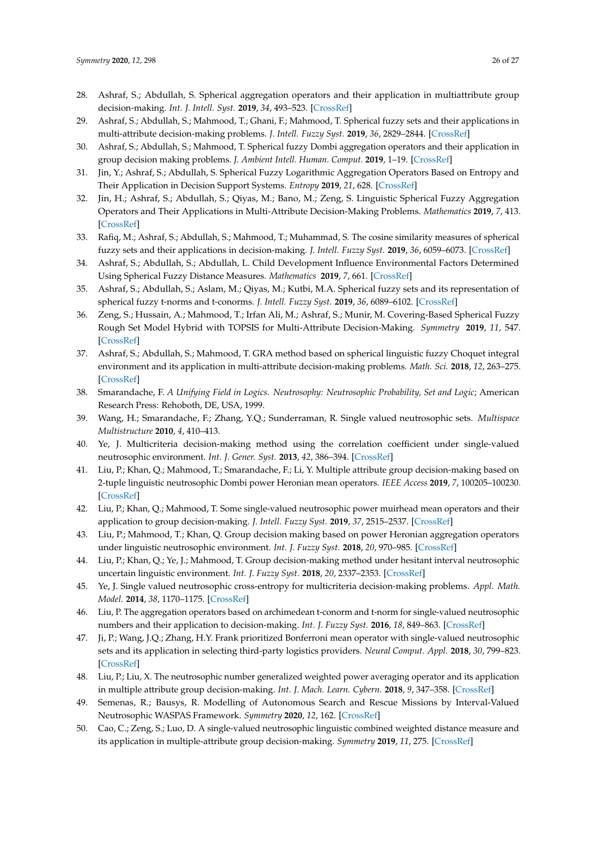- <span id="page-25-0"></span>28. Ashraf, S.; Abdullah, S. Spherical aggregation operators and their application in multiattribute group decision-making. *Int. J. Intell. Syst.* **2019**, *34*, 493–523. [\[CrossRef\]](http://dx.doi.org/10.1002/int.22062)
- <span id="page-25-1"></span>29. Ashraf, S.; Abdullah, S.; Mahmood, T.; Ghani, F.; Mahmood, T. Spherical fuzzy sets and their applications in multi-attribute decision-making problems. *J. Intell. Fuzzy Syst.* **2019**, *36*, 2829–2844. [\[CrossRef\]](http://dx.doi.org/10.3233/JIFS-172009)
- <span id="page-25-2"></span>30. Ashraf, S.; Abdullah, S.; Mahmood, T. Spherical fuzzy Dombi aggregation operators and their application in group decision making problems. *J. Ambient Intell. Human. Comput.* **2019**, 1–19. [\[CrossRef\]](http://dx.doi.org/10.1007/s12652-019-01333-y)
- <span id="page-25-3"></span>31. Jin, Y.; Ashraf, S.; Abdullah, S. Spherical Fuzzy Logarithmic Aggregation Operators Based on Entropy and Their Application in Decision Support Systems. *Entropy* **2019**, *21*, 628. [\[CrossRef\]](http://dx.doi.org/10.3390/e21070628)
- <span id="page-25-4"></span>32. Jin, H.; Ashraf, S.; Abdullah, S.; Qiyas, M.; Bano, M.; Zeng, S. Linguistic Spherical Fuzzy Aggregation Operators and Their Applications in Multi-Attribute Decision-Making Problems. *Mathematics* **2019**, *7*, 413. [\[CrossRef\]](http://dx.doi.org/10.3390/math7050413)
- <span id="page-25-5"></span>33. Rafiq, M.; Ashraf, S.; Abdullah, S.; Mahmood, T.; Muhammad, S. The cosine similarity measures of spherical fuzzy sets and their applications in decision-making. *J. Intell. Fuzzy Syst.* **2019**, *36*, 6059–6073. [\[CrossRef\]](http://dx.doi.org/10.3233/JIFS-181922)
- <span id="page-25-6"></span>34. Ashraf, S.; Abdullah, S.; Abdullah, L. Child Development Influence Environmental Factors Determined Using Spherical Fuzzy Distance Measures. *Mathematics* **2019**, *7*, 661. [\[CrossRef\]](http://dx.doi.org/10.3390/math7080661)
- <span id="page-25-7"></span>35. Ashraf, S.; Abdullah, S.; Aslam, M.; Qiyas, M.; Kutbi, M.A. Spherical fuzzy sets and its representation of spherical fuzzy t-norms and t-conorms. *J. Intell. Fuzzy Syst.* **2019**, *36*, 6089–6102. [\[CrossRef\]](http://dx.doi.org/10.3233/JIFS-181941)
- <span id="page-25-8"></span>36. Zeng, S.; Hussain, A.; Mahmood, T.; Irfan Ali, M.; Ashraf, S.; Munir, M. Covering-Based Spherical Fuzzy Rough Set Model Hybrid with TOPSIS for Multi-Attribute Decision-Making. *Symmetry* **2019**, *11*, 547. [\[CrossRef\]](http://dx.doi.org/10.3390/sym11040547)
- <span id="page-25-9"></span>37. Ashraf, S.; Abdullah, S.; Mahmood, T. GRA method based on spherical linguistic fuzzy Choquet integral environment and its application in multi-attribute decision-making problems. *Math. Sci.* **2018**, *12*, 263–275. [\[CrossRef\]](http://dx.doi.org/10.1007/s40096-018-0266-0)
- <span id="page-25-10"></span>38. Smarandache, F. *A Unifying Field in Logics. Neutrosophy: Neutrosophic Probability, Set and Logic*; American Research Press: Rehoboth, DE, USA, 1999.
- <span id="page-25-11"></span>39. Wang, H.; Smarandache, F.; Zhang, Y.Q.; Sunderraman, R. Single valued neutrosophic sets. *Multispace Multistructure* **2010**, *4*, 410–413.
- <span id="page-25-12"></span>40. Ye, J. Multicriteria decision-making method using the correlation coefficient under single-valued neutrosophic environment. *Int. J. Gener. Syst.* **2013**, *42*, 386–394. [\[CrossRef\]](http://dx.doi.org/10.1080/03081079.2012.761609)
- <span id="page-25-13"></span>41. Liu, P.; Khan, Q.; Mahmood, T.; Smarandache, F.; Li, Y. Multiple attribute group decision-making based on 2-tuple linguistic neutrosophic Dombi power Heronian mean operators. *IEEE Access* **2019**, *7*, 100205–100230. [\[CrossRef\]](http://dx.doi.org/10.1109/ACCESS.2019.2925344)
- <span id="page-25-14"></span>42. Liu, P.; Khan, Q.; Mahmood, T. Some single-valued neutrosophic power muirhead mean operators and their application to group decision-making. *J. Intell. Fuzzy Syst.* **2019**, *37*, 2515–2537. [\[CrossRef\]](http://dx.doi.org/10.3233/JIFS-182774)
- <span id="page-25-15"></span>43. Liu, P.; Mahmood, T.; Khan, Q. Group decision making based on power Heronian aggregation operators under linguistic neutrosophic environment. *Int. J. Fuzzy Syst.* **2018**, *20*, 970–985. [\[CrossRef\]](http://dx.doi.org/10.1007/s40815-018-0450-2)
- <span id="page-25-16"></span>44. Liu, P.; Khan, Q.; Ye, J.; Mahmood, T. Group decision-making method under hesitant interval neutrosophic uncertain linguistic environment. *Int. J. Fuzzy Syst.* **2018**, *20*, 2337–2353. [\[CrossRef\]](http://dx.doi.org/10.1007/s40815-017-0445-4)
- <span id="page-25-17"></span>45. Ye, J. Single valued neutrosophic cross-entropy for multicriteria decision-making problems. *Appl. Math. Model.* **2014**, *38*, 1170–1175. [\[CrossRef\]](http://dx.doi.org/10.1016/j.apm.2013.07.020)
- <span id="page-25-18"></span>46. Liu, P. The aggregation operators based on archimedean t-conorm and t-norm for single-valued neutrosophic numbers and their application to decision-making. *Int. J. Fuzzy Syst.* **2016**, *18*, 849–863. [\[CrossRef\]](http://dx.doi.org/10.1007/s40815-016-0195-8)
- 47. Ji, P.; Wang, J.Q.; Zhang, H.Y. Frank prioritized Bonferroni mean operator with single-valued neutrosophic sets and its application in selecting third-party logistics providers. *Neural Comput. Appl.* **2018**, *30*, 799–823. [\[CrossRef\]](http://dx.doi.org/10.1007/s00521-016-2660-6)
- <span id="page-25-19"></span>48. Liu, P.; Liu, X. The neutrosophic number generalized weighted power averaging operator and its application in multiple attribute group decision-making. *Int. J. Mach. Learn. Cybern.* **2018**, *9*, 347–358. [\[CrossRef\]](http://dx.doi.org/10.1007/s13042-016-0508-0)
- <span id="page-25-20"></span>49. Semenas, R.; Bausys, R. Modelling of Autonomous Search and Rescue Missions by Interval-Valued Neutrosophic WASPAS Framework. *Symmetry* **2020**, *12*, 162. [\[CrossRef\]](http://dx.doi.org/10.3390/sym12010162)
- 50. Cao, C.; Zeng, S.; Luo, D. A single-valued neutrosophic linguistic combined weighted distance measure and its application in multiple-attribute group decision-making. *Symmetry* **2019**, *11*, 275. [\[CrossRef\]](http://dx.doi.org/10.3390/sym11020275)